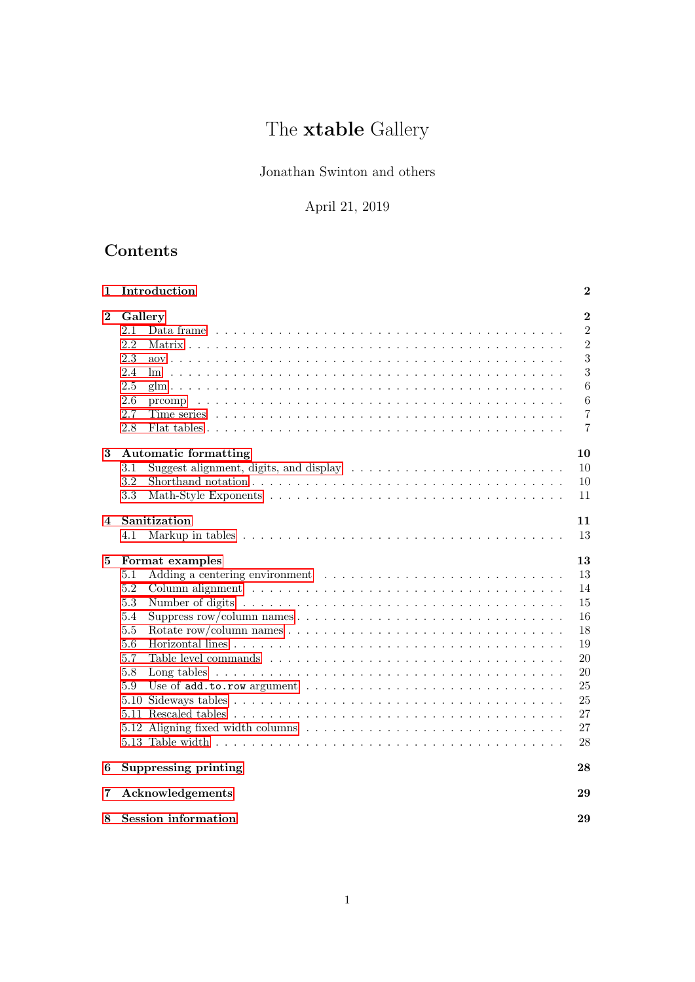# The **xtable** Gallery

# Jonathan Swinton and others

# April 21, 2019

# Contents

| 1                | Introduction                                                                                                        | $\bf{2}$       |
|------------------|---------------------------------------------------------------------------------------------------------------------|----------------|
| $\boldsymbol{2}$ | Gallery                                                                                                             | $\overline{2}$ |
|                  | 2.1<br>Data frame                                                                                                   | $\overline{2}$ |
|                  | 2.2                                                                                                                 | $\overline{2}$ |
|                  | 2.3                                                                                                                 | 3              |
|                  | 2.4                                                                                                                 | 3              |
|                  | 2.5                                                                                                                 | 6              |
|                  | 2.6                                                                                                                 | 6              |
|                  | 2.7                                                                                                                 | 7              |
|                  | 2.8                                                                                                                 | $\overline{7}$ |
| $\bf{3}$         | <b>Automatic formatting</b>                                                                                         | 10             |
|                  | 3.1                                                                                                                 | 10             |
|                  | 3.2<br>Shorthand notation $\ldots \ldots \ldots \ldots \ldots \ldots \ldots \ldots \ldots \ldots \ldots \ldots$     | 10             |
|                  | 3.3                                                                                                                 | 11             |
|                  |                                                                                                                     |                |
| $\overline{4}$   | Sanitization                                                                                                        | 11             |
|                  | 4.1                                                                                                                 | 13             |
| 5                | Format examples                                                                                                     | 13             |
|                  | 5.1                                                                                                                 | 13             |
|                  | 5.2                                                                                                                 | 14             |
|                  | 5.3<br>Number of digits $\dots \dots \dots \dots \dots \dots \dots \dots \dots \dots \dots \dots \dots \dots \dots$ | 15             |
|                  | 5.4                                                                                                                 | 16             |
|                  | 5.5                                                                                                                 | 18             |
|                  | 5.6                                                                                                                 | 19             |
|                  | 5.7                                                                                                                 | 20             |
|                  | 5.8                                                                                                                 | 20             |
|                  | 5.9                                                                                                                 | 25             |
|                  |                                                                                                                     | 25             |
|                  |                                                                                                                     | 27             |
|                  |                                                                                                                     | 27             |
|                  |                                                                                                                     | 28             |
| 6                | Suppressing printing                                                                                                | 28             |
| 7                | Acknowledgements                                                                                                    | 29             |
| 8                | <b>Session</b> information                                                                                          | 29             |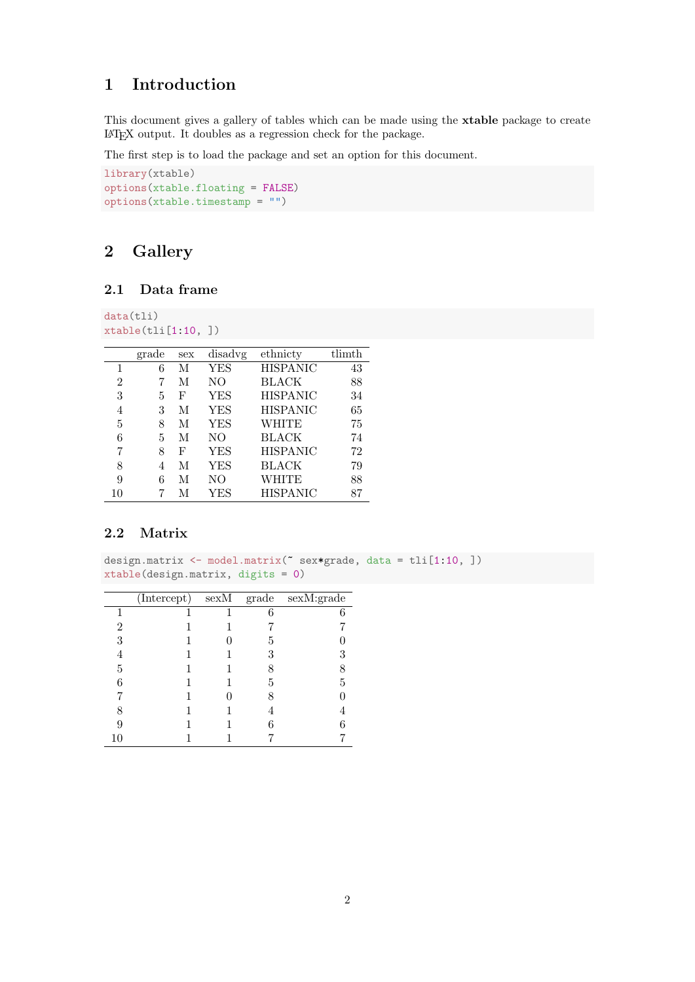# <span id="page-1-0"></span>1 Introduction

This document gives a gallery of tables which can be made using the xtable package to create LATEX output. It doubles as a regression check for the package.

The first step is to load the package and set an option for this document.

```
library(xtable)
options(xtable.floating = FALSE)
options(xtable.timestamp = "")
```
# <span id="page-1-1"></span>2 Gallery

#### <span id="page-1-2"></span>2.1 Data frame

data(tli) xtable(tli[1:10, ])

|                | grade | sex | disadvg        | ethnicty        | tlimth |
|----------------|-------|-----|----------------|-----------------|--------|
| 1              | 6     | М   | <b>YES</b>     | <b>HISPANIC</b> | 43     |
| $\overline{2}$ | 7     | М   | NO             | <b>BLACK</b>    | 88     |
| 3              | 5     | F   | YES            | <b>HISPANIC</b> | 34     |
| 4              | 3     | М   | <b>YES</b>     | <b>HISPANIC</b> | 65     |
| 5              | 8     | М   | YES            | WHITE           | 75     |
| 6              | 5     | М   | N <sub>O</sub> | <b>BLACK</b>    | 74     |
| 7              | 8     | F   | <b>YES</b>     | <b>HISPANIC</b> | 72     |
| 8              | 4     | М   | <b>YES</b>     | BLACK           | 79     |
| 9              | 6     | М   | NO             | WHITE           | 88     |
| 10             | 7     | М   | YES            | <b>HISPANIC</b> | 87     |

### <span id="page-1-3"></span>2.2 Matrix

design.matrix <- model.matrix(~ sex\*grade, data = tli[1:10, ]) xtable(design.matrix, digits = 0)

|    | $(Intercept)$ sexM |   | $grade$ sexM:grade |
|----|--------------------|---|--------------------|
|    |                    | 6 |                    |
| 2  |                    |   |                    |
| 3  |                    | 5 |                    |
|    |                    | 3 |                    |
| 5  |                    |   |                    |
| 6  |                    | 5 |                    |
|    |                    |   |                    |
| 8  |                    |   |                    |
| g  |                    |   |                    |
| 10 |                    |   |                    |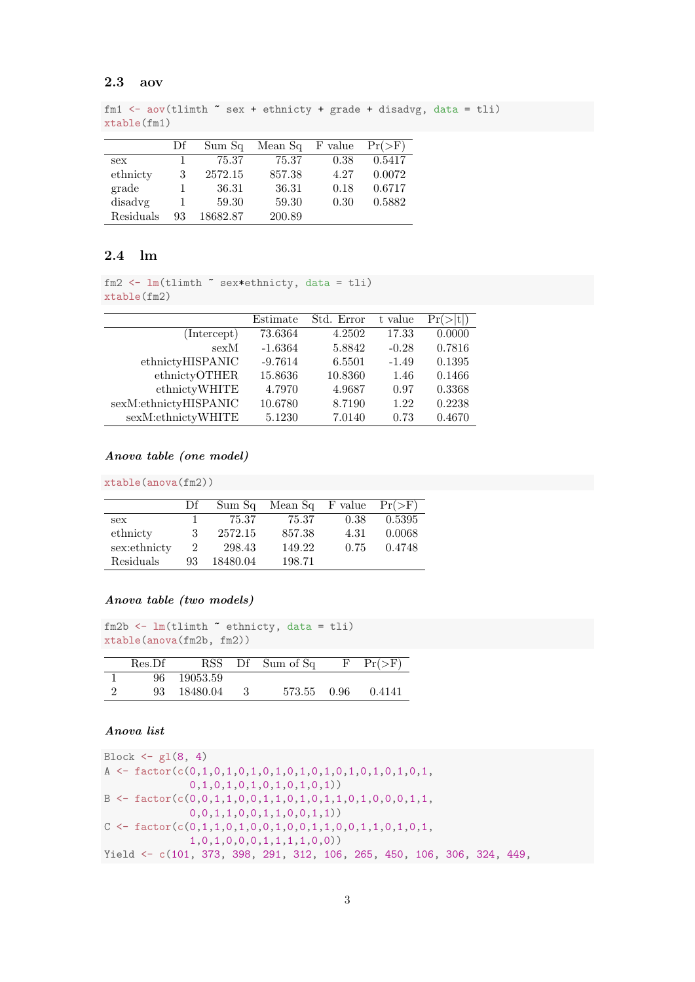#### <span id="page-2-0"></span>2.3 aov

```
fm1 \leftarrow aov(tlimth \tilde{\phantom{a}} sex + ethnicty + grade + disadvg, data = tli)
xtable(fm1)
```

|           | Df | Sum Sq   | Mean Sq | F value |        |
|-----------|----|----------|---------|---------|--------|
| sex       |    | 75.37    | 75.37   | 0.38    | 0.5417 |
| ethnicty  | 3  | 2572.15  | 857.38  | 4.27    | 0.0072 |
| grade     |    | 36.31    | 36.31   | 0.18    | 0.6717 |
| disadvg   |    | 59.30    | 59.30   | 0.30    | 0.5882 |
| Residuals | 93 | 18682.87 | 200.89  |         |        |

#### <span id="page-2-1"></span>2.4 lm

```
fm2 <- lm(tlimth ~ sex*ethnicty, data = tli)
xtable(fm2)
```

|                       | Estimate  | Std. Error | t value | Pr(    |
|-----------------------|-----------|------------|---------|--------|
| (Intercept)           | 73.6364   | 4.2502     | 17.33   | 0.0000 |
| sexM                  | $-1.6364$ | 5.8842     | $-0.28$ | 0.7816 |
| ethnictyHISPANIC      | $-9.7614$ | 6.5501     | $-1.49$ | 0.1395 |
| ethnictyOTHER         | 15.8636   | 10.8360    | 1.46    | 0.1466 |
| ethnictyWHITE         | 4.7970    | 4.9687     | 0.97    | 0.3368 |
| sexM:ethnictyHISPANIC | 10.6780   | 8.7190     | 1.22    | 0.2238 |
| sexM:ethnictyWHITE    | 5.1230    | 7.0140     | 0.73    | 0.4670 |

#### Anova table (one model)

xtable(anova(fm2))

|              | Df             | Sum Sq   | Mean Sq F value |      |        |
|--------------|----------------|----------|-----------------|------|--------|
| sex          |                | 75.37    | 75.37           | 0.38 | 0.5395 |
| ethnicty     | 3              | 2572.15  | 857.38          | 4.31 | 0.0068 |
| sex:ethnicty | $\overline{2}$ | 298.43   | 149.22          | 0.75 | 0.4748 |
| Residuals    | 93             | 18480.04 | 198.71          |      |        |

#### Anova table (two models)

```
fm2b <- lm(tlimth \tilde{ } ethnicty, data = tli)
xtable(anova(fm2b, fm2))
```

|   | Res.Df |          | RSS Df Sum of Sq | F | $Pr(>\)$ |
|---|--------|----------|------------------|---|----------|
|   | 96.    | 19053.59 |                  |   |          |
| ച | 93     | 18480.04 | 573.55 0.96      |   | 0.4141   |

#### Anova list

```
Block \leftarrow gl(8, 4)A <- factor(c(0,1,0,1,0,1,0,1,0,1,0,1,0,1,0,1,0,1,0,1,
              0,1,0,1,0,1,0,1,0,1,0,1))
B <- factor(c(0,0,1,1,0,0,1,1,0,1,0,1,1,0,1,0,0,0,1,1,
              0,0,1,1,0,0,1,1,0,0,1,1))
C <- factor(c(0,1,1,0,1,0,0,1,0,0,1,1,0,0,1,1,0,1,0,1,
              1,0,1,0,0,0,1,1,1,1,0,0))
Yield <- c(101, 373, 398, 291, 312, 106, 265, 450, 106, 306, 324, 449,
```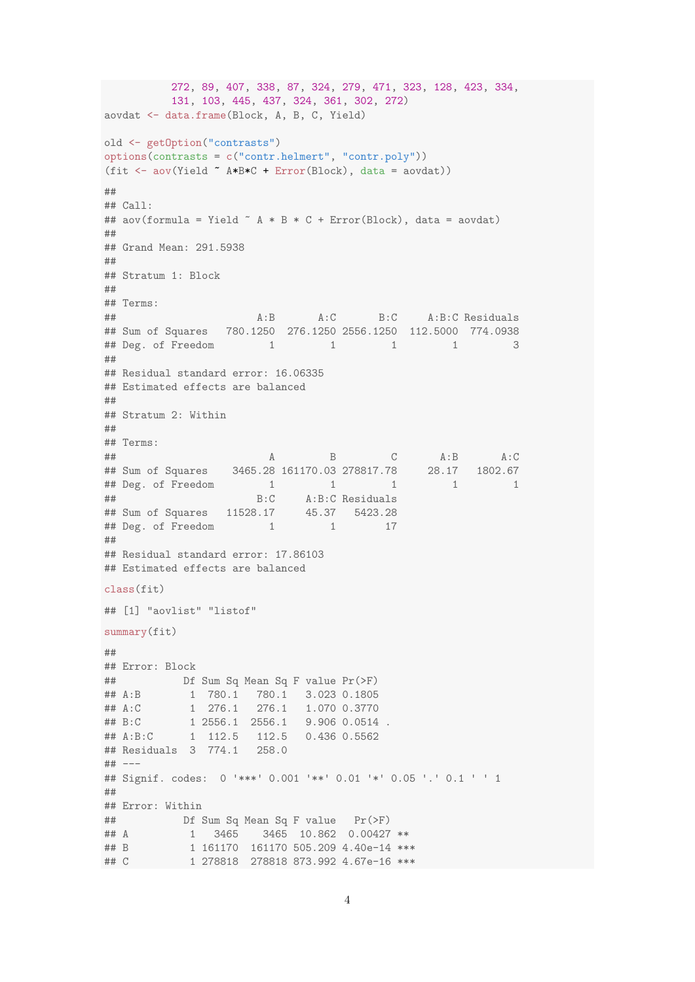```
272, 89, 407, 338, 87, 324, 279, 471, 323, 128, 423, 334,
         131, 103, 445, 437, 324, 361, 302, 272)
aovdat <- data.frame(Block, A, B, C, Yield)
old <- getOption("contrasts")
options(contrasts = c("contr.helmert", "contr.poly"))
(fit <- aov(Yield ~ A*B*C + Error(Block), data = aovdat))
##
## Call:
## aov(formula = Yield \sim A * B * C + Error(Block), data = aovdat)
##
## Grand Mean: 291.5938
##
## Stratum 1: Block
##
## Terms:
## A:B A:C B:C A:B:C Residuals
## Sum of Squares 780.1250 276.1250 2556.1250 112.5000 774.0938
## Deg. of Freedom 1 1 1 1 3
##
## Residual standard error: 16.06335
## Estimated effects are balanced
##
## Stratum 2: Within
##
## Terms:
## Sum of Squares 3465.28 161170.03 278817.78 28.17 1802.67
## Sum of Squares 3465.28 161170.03 278817.78
## Deg. of Freedom 1 1 1 1 1 1
## B:C A:B:C Residuals<br>## Sum of Squares 11528.17 45.37 5423.28
## Sum of Squares 11528.17
## Deg. of Freedom 1 1 17
##
## Residual standard error: 17.86103
## Estimated effects are balanced
class(fit)
## [1] "aovlist" "listof"
summary(fit)
##
## Error: Block
## Df Sum Sq Mean Sq F value Pr(>F)
## A:B 1 780.1 780.1 3.023 0.1805
## A:C 1 276.1 276.1 1.070 0.3770
## B:C 1 2556.1 2556.1 9.906 0.0514 .
          1 112.5 112.5 0.436 0.5562
## Residuals 3 774.1 258.0
## ---## Signif. codes: 0 '***' 0.001 '**' 0.01 '*' 0.05 '.' 0.1 ' ' 1
##
## Error: Within
## Df Sum Sq Mean Sq F value Pr(>F)
## A 1 3465 3465 10.862 0.00427 **
## B 1 161170 161170 505.209 4.40e-14 ***
## C 1 278818 278818 873.992 4.67e-16 ***
```

```
4
```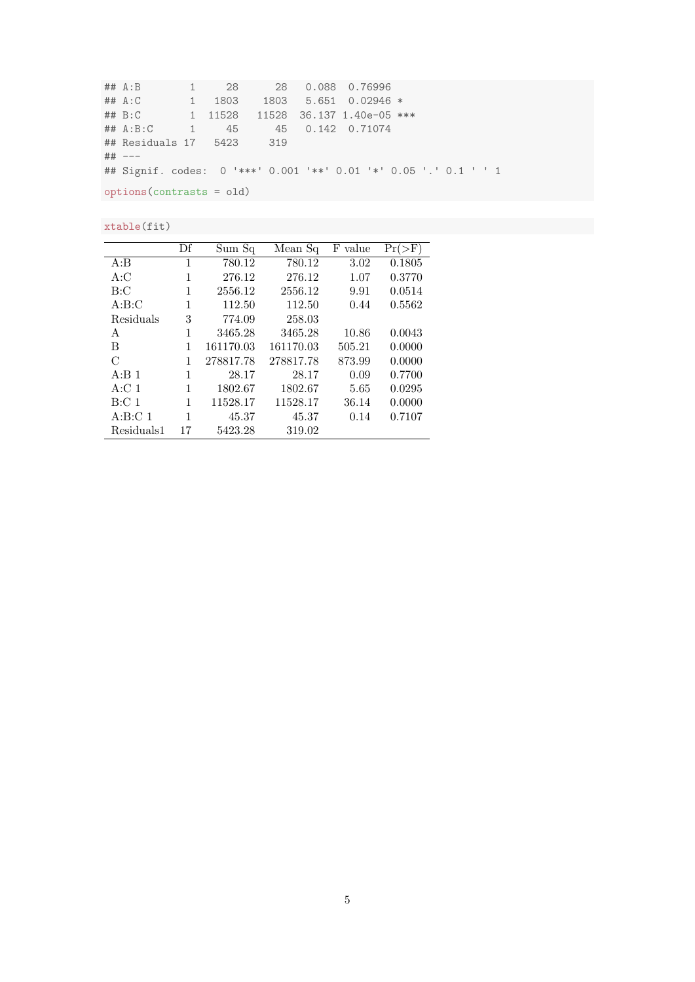## A:B 1 28 28 0.088 0.76996 ## A:C 1 1803 1803 5.651 0.02946 \* ## B:C 1 11528 11528 36.137 1.40e-05 \*\*\* ## A:B:C 1 45 45 0.142 0.71074 ## Residuals 17 5423 319 ## --- ## Signif. codes: 0 '\*\*\*' 0.001 '\*\*' 0.01 '\*' 0.05 '.' 0.1 ' ' 1 options(contrasts = old)

xtable(fit)

|                    | Df | Sum Sq    | Mean Sq   | value<br>F |        |
|--------------------|----|-----------|-----------|------------|--------|
| A:B                | 1  | 780.12    | 780.12    | 3.02       | 0.1805 |
| A:C                | 1  | 276.12    | 276.12    | 1.07       | 0.3770 |
| B: C               | 1  | 2556.12   | 2556.12   | 9.91       | 0.0514 |
| A:B:C              | 1  | 112.50    | 112.50    | 0.44       | 0.5562 |
| Residuals          | 3  | 774.09    | 258.03    |            |        |
| A                  | 1  | 3465.28   | 3465.28   | 10.86      | 0.0043 |
| B                  | 1  | 161170.03 | 161170.03 | 505.21     | 0.0000 |
| $\mathcal{C}$      |    | 278817.78 | 278817.78 | 873.99     | 0.0000 |
| A:B <sub>1</sub>   | 1  | 28.17     | 28.17     | 0.09       | 0.7700 |
| A: C <sub>1</sub>  | 1  | 1802.67   | 1802.67   | 5.65       | 0.0295 |
| B:Cl <sub>1</sub>  | 1  | 11528.17  | 11528.17  | 36.14      | 0.0000 |
| A:B:C <sub>1</sub> | 1  | 45.37     | 45.37     | 0.14       | 0.7107 |
| Residuals1         | 17 | 5423.28   | 319.02    |            |        |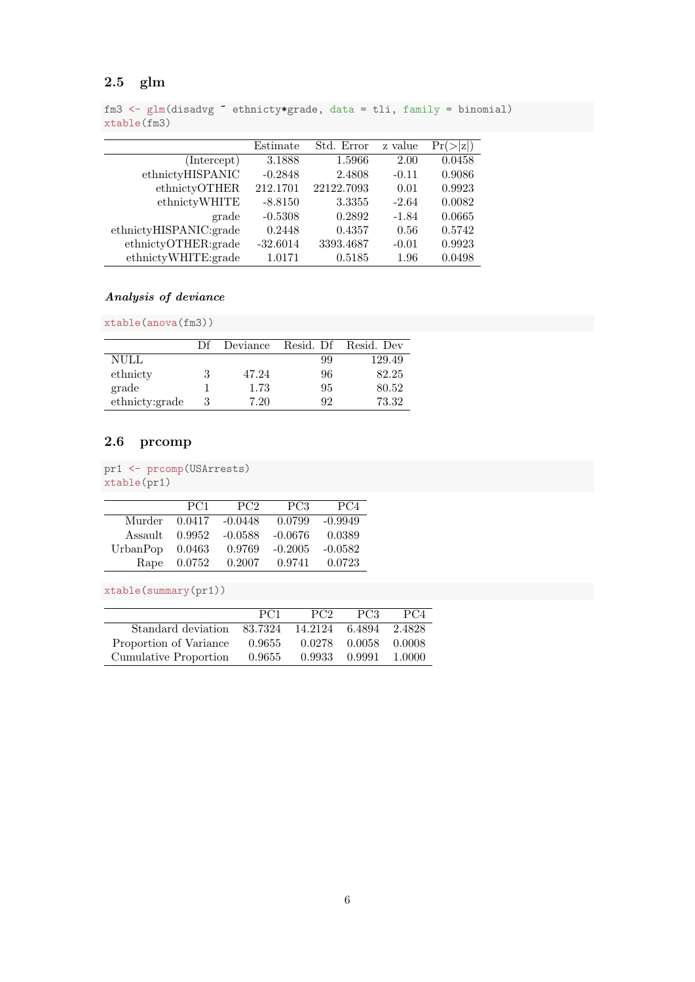# <span id="page-5-0"></span>2.5 glm

```
fm3 \leftarrow glm(disadvg \sim ethnicty*grade, data = tli, family = binomial)
xtable(fm3)
```

|                        | Estimate   | Std. Error | z value | Pr(    |
|------------------------|------------|------------|---------|--------|
| (Intercept)            | 3.1888     | 1.5966     | 2.00    | 0.0458 |
| ethnictyHISPANIC       | $-0.2848$  | 2.4808     | $-0.11$ | 0.9086 |
| ethnictyOTHER          | 212.1701   | 22122.7093 | 0.01    | 0.9923 |
| ethnictyWHITE          | $-8.8150$  | 3.3355     | $-2.64$ | 0.0082 |
| grade                  | $-0.5308$  | 0.2892     | $-1.84$ | 0.0665 |
| ethnictyHISPANIC:grade | 0.2448     | 0.4357     | 0.56    | 0.5742 |
| ethnictyOTHER:grade    | $-32.6014$ | 3393.4687  | $-0.01$ | 0.9923 |
| ethnictyWHITE:grade    | 1.0171     | 0.5185     | 1.96    | 0.0498 |

#### Analysis of deviance

xtable(anova(fm3))

|                | Df | Deviance |    | Resid. Df Resid. Dev |
|----------------|----|----------|----|----------------------|
| NULL           |    |          | 99 | 129.49               |
| ethnicty       | 3  | 47.24    | 96 | 82.25                |
| grade          |    | 1.73     | 95 | 80.52                |
| ethnicty:grade | 3  | 7.20     | 92 | 73.32                |

# <span id="page-5-1"></span>2.6 prcomp

```
pr1 <- prcomp(USArrests)
xtable(pr1)
```

|          | PC <sub>1</sub> | PC2       | PC <sub>3</sub> | PC <sub>4</sub> |
|----------|-----------------|-----------|-----------------|-----------------|
| Murder   | 0.0417          | $-0.0448$ | 0.0799          | $-0.9949$       |
| Assault  | 0.9952          | $-0.0588$ | $-0.0676$       | 0.0389          |
| UrbanPop | 0.0463          | 0.9769    | $-0.2005$       | $-0.0582$       |
| Rape     | 0.0752          | 0.2007    | 0.9741          | 0.0723          |

xtable(summary(pr1))

|                        | PC1     | PC <sub>2</sub> | PC3    | PC4     |
|------------------------|---------|-----------------|--------|---------|
| Standard deviation     | 83.7324 | 14.2124 6.4894  |        | 2.4828  |
| Proportion of Variance | 0.9655  | 0.0278          | 0.0058 | -0.0008 |
| Cumulative Proportion  | 0.9655  | 0.9933 0.9991   |        | 1.0000  |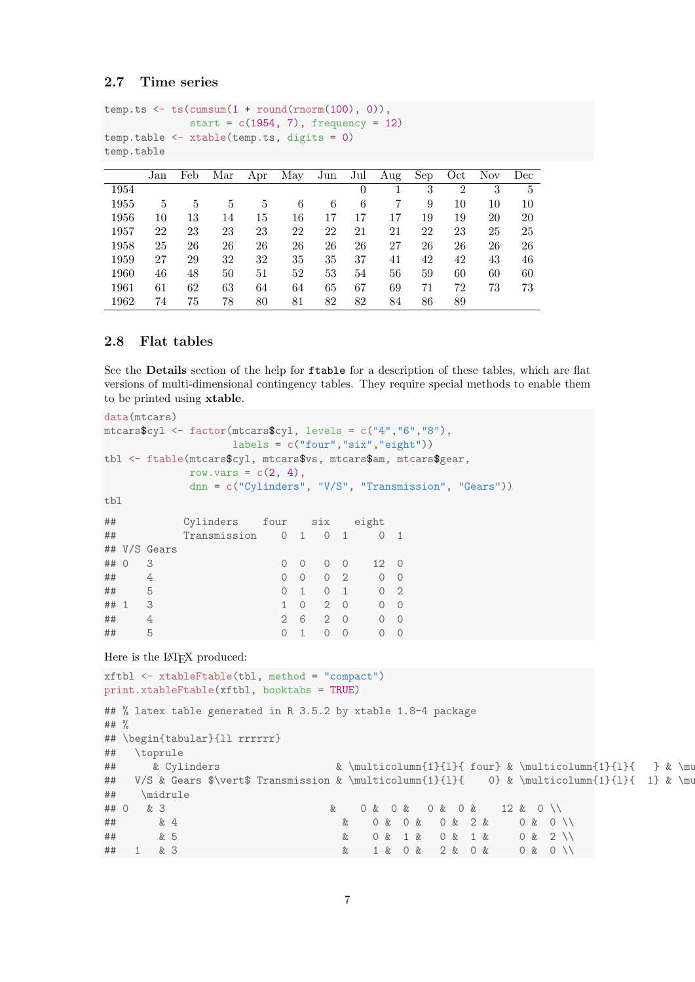#### <span id="page-6-0"></span>2.7 Time series

```
temp.ts \leftarrow ts(cumsum(1 + round(rnorm(100), 0)),
              start = c(1954, 7), frequency = 12)
temp.table <- xtable(temp.ts, digits = 0)
temp.table
```

|      | Jan | Feb | Mar | Apr | May | Jun | Jul      | Aug | Sep | Oct            | Nov | Dec |
|------|-----|-----|-----|-----|-----|-----|----------|-----|-----|----------------|-----|-----|
| 1954 |     |     |     |     |     |     | $\theta$ |     | 3   | $\overline{2}$ | 3   | 5   |
| 1955 | 5   | 5   | 5   | 5   | 6   | 6   | 6        | 7   | 9   | 10             | 10  | 10  |
| 1956 | 10  | 13  | 14  | 15  | 16  | 17  | 17       | 17  | 19  | 19             | 20  | 20  |
| 1957 | 22  | 23  | 23  | 23  | 22  | 22  | 21       | 21  | 22  | 23             | 25  | 25  |
| 1958 | 25  | 26  | 26  | 26  | 26  | 26  | 26       | 27  | 26  | 26             | 26  | 26  |
| 1959 | 27  | 29  | 32  | 32  | 35  | 35  | 37       | 41  | 42  | 42             | 43  | 46  |
| 1960 | 46  | 48  | 50  | 51  | 52  | 53  | 54       | 56  | 59  | 60             | 60  | 60  |
| 1961 | 61  | 62  | 63  | 64  | 64  | 65  | 67       | 69  | 71  | 72             | 73  | 73  |
| 1962 | 74  | 75  | 78  | 80  | 81  | 82  | 82       | 84  | 86  | 89             |     |     |

#### <span id="page-6-1"></span>2.8 Flat tables

See the Details section of the help for ftable for a description of these tables, which are flat versions of multi-dimensional contingency tables. They require special methods to enable them to be printed using xtable.

```
data(mtcars)
mtcars$cyl <- factor(mtcars$cyl, levels = c("4","6","8"),
               labels = c("four", "six", "eight"))tbl <- ftable(mtcars$cyl, mtcars$vs, mtcars$am, mtcars$gear,
          row.vars = c(2, 4),
          dnn = c("Cylinders", "V/S", "Transmission", "Gears"))
tbl
## Cylinders four six eight
## Transmission 0 1 0 1 0 1
## V/S Gears
## 0 3 0 0 0 0 12 0
## 4 0 0 0 2 0 0
## 5 0 1 0 1 0 2
## 1 3 1 0 2 0 0 0
## 4 2 6 2 0 0 0
## 5 0 1 0 0 0 0
Here is the L<sup>AT</sup><sub>E</sub>X produced:
xftbl <- xtableFtable(tbl, method = "compact")
print.xtableFtable(xftbl, booktabs = TRUE)
## % latex table generated in R 3.5.2 by xtable 1.8-4 package
## %
## \begin{tabular}{ll rrrrrr}
## \toprule
## & Cylinders \& \mathcal{I}_{l} four} & \multicolumn{1}{ and the six \mathcal{I}_{l} } & \multicolumn{1}{ eight} \mathcal{I}_{l}## V/S & Gears $\vert$ Transmission & \multicolumn{1}{1}{ 0} & \multicolumn{1}{1}{ 1} & \mu
## \midrule
## 0 & 3 & 0 & 0 & 0 & 0 & 12 & 0 \\
## & 4 & 0 & 0 & 0 & 2 & 0 & 0 \\
## & 5 & 0 & 1 & 0 & 1 & 0 & 2 \\
## 1 & 3 & 1 & 0 & 2 & 0 & 0 & 0 \\
```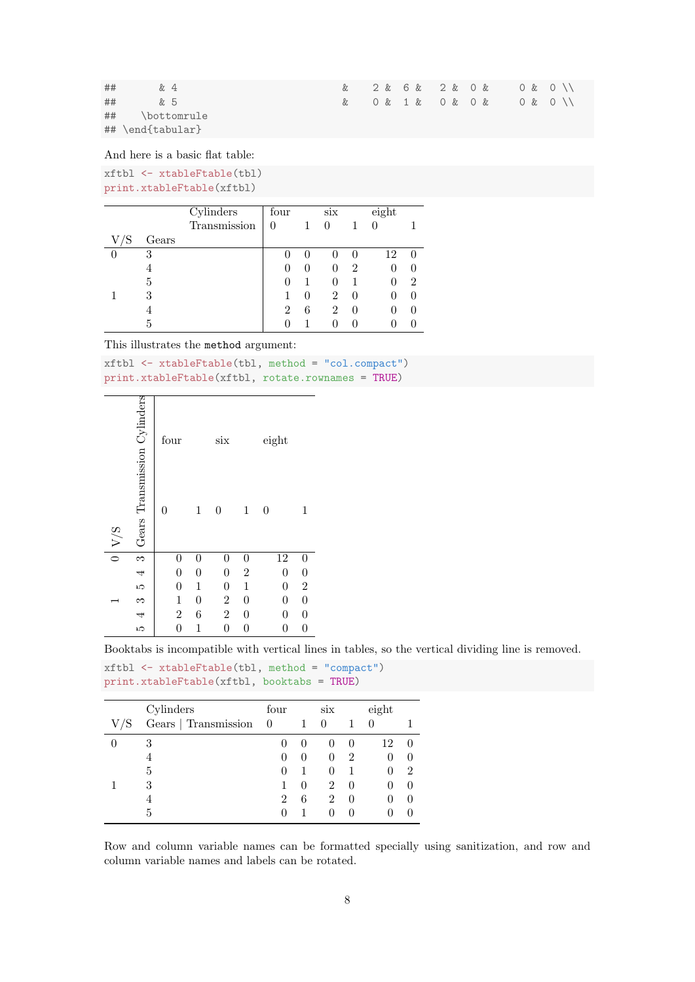| ## | &4                   | & 2 & 6 & 2 & 0 & 0 & 0 \\ |  |  |  |  |  |  |  |
|----|----------------------|----------------------------|--|--|--|--|--|--|--|
| ## | <i>k</i> . 5         | & 0 & 1 & 0 & 0 & 0 & 0 \\ |  |  |  |  |  |  |  |
| ## | \bottomrule          |                            |  |  |  |  |  |  |  |
|    | $\#$ # \end{tabular} |                            |  |  |  |  |  |  |  |

And here is a basic flat table:

xftbl <- xtableFtable(tbl) print.xtableFtable(xftbl)

|   |       | Cylinders    | four           |   | $\rm{six}$ |   | eighth |   |
|---|-------|--------------|----------------|---|------------|---|--------|---|
|   |       | Transmission | 0              |   | 0          |   |        |   |
| S | Gears |              |                |   |            |   |        |   |
| 0 | 3     |              |                |   |            |   | 12     |   |
|   |       |              |                |   |            | 2 |        |   |
|   | 5     |              |                |   |            |   |        | 2 |
|   | 3     |              |                |   | 2          |   |        |   |
|   |       |              | $\overline{2}$ | 6 | 2          |   |        |   |
|   | 5     |              |                |   |            |   |        |   |

This illustrates the method argument:

xftbl <- xtableFtable(tbl, method = "col.compact") print.xtableFtable(xftbl, rotate.rownames = TRUE)

|                      |                              | four             |                  | $\dot{\rm six}$         |                  | eight            |                                      |
|----------------------|------------------------------|------------------|------------------|-------------------------|------------------|------------------|--------------------------------------|
| V/S                  | Gears Transmission Cylinders | 0                | $\mathbf 1$      | 0                       | $\mathbf{1}$     | $\boldsymbol{0}$ | 1                                    |
| $\overline{\bullet}$ |                              | $\boldsymbol{0}$ | 0                | $\boldsymbol{0}$        | $\boldsymbol{0}$ | 12               | $\boldsymbol{0}$                     |
|                      |                              | $\boldsymbol{0}$ | $\boldsymbol{0}$ | $\boldsymbol{0}$        | $\overline{2}$   | $\overline{0}$   | $\boldsymbol{0}$                     |
|                      |                              | $\boldsymbol{0}$ | $\mathbf{1}$     | $\boldsymbol{0}$        | $\mathbf 1$      | $\overline{0}$   |                                      |
|                      | 543543                       | $\mathbf{1}$     | $\boldsymbol{0}$ | $\overline{\mathbf{c}}$ | $\boldsymbol{0}$ | $\boldsymbol{0}$ | $\begin{matrix} 2 \\ 0 \end{matrix}$ |
|                      |                              | $\overline{c}$   | 6                | $\sqrt{2}$              | $\boldsymbol{0}$ | 0                | $\boldsymbol{0}$                     |
|                      |                              | $\boldsymbol{0}$ | 1                | $\boldsymbol{0}$        | $\boldsymbol{0}$ | $\boldsymbol{0}$ | $\overline{0}$                       |

Booktabs is incompatible with vertical lines in tables, so the vertical dividing line is removed.

xftbl <- xtableFtable(tbl, method = "compact") print.xtableFtable(xftbl, booktabs = TRUE)

|    | Cylinders            | four     |   | S1X              |   | eight |   |
|----|----------------------|----------|---|------------------|---|-------|---|
| /S | Gears   Transmission | $\theta$ |   | $\left( \right)$ |   |       |   |
|    | 3                    |          |   |                  |   | 12    |   |
|    |                      |          |   | $\mathbf{0}$     | 2 |       |   |
|    | 5                    |          |   | $\mathbf{0}$     |   |       | 2 |
|    | 3                    |          |   | 2                |   |       |   |
|    |                      | 2        | 6 | $\mathfrak{D}$   |   |       |   |
|    | 5                    |          |   |                  |   |       |   |

Row and column variable names can be formatted specially using sanitization, and row and column variable names and labels can be rotated.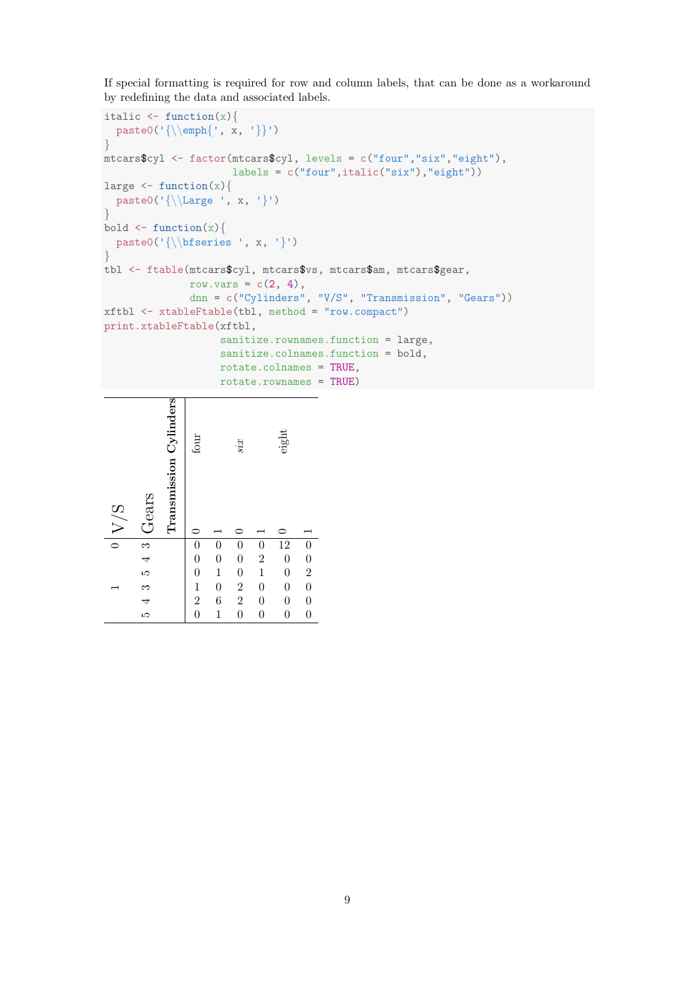If special formatting is required for row and column labels, that can be done as a workaround by redefining the data and associated labels.

```
italic \leq function(x){
  paste0('{\\emph{', x, '}}')
}
mtcars$cyl <- factor(mtcars$cyl, levels = c("four","six","eight"),
                     lables = c("four", italic("six"), "eight")large \leq function(x)paste0('{\\Large ', x, '})')}
bold \leftarrow function(x)paste0('{\\bfseries ', x, '}')
}
tbl <- ftable(mtcars$cyl, mtcars$vs, mtcars$am, mtcars$gear,
              row.vars = c(2, 4),
              dnn = c("Cylinders", "V/S", "Transmission", "Gears"))
xftbl <- xtableFtable(tbl, method = "row.compact")
print.xtableFtable(xftbl,
                   sanitize.rownames.function = large,
                   sanitize.colnames.function = bold,
                   rotate.colnames = TRUE,
                   rotate.rownames = TRUE)
```

| V/S                  | Gears    | Transmission Cylinders | four                                                               |                                   | six                                        |                                       | $_{\rm eight}$                       |                 |
|----------------------|----------|------------------------|--------------------------------------------------------------------|-----------------------------------|--------------------------------------------|---------------------------------------|--------------------------------------|-----------------|
| $\overline{\bullet}$ | $\infty$ |                        |                                                                    |                                   | $\boldsymbol{0}$                           | $\boldsymbol{0}$                      |                                      |                 |
|                      |          |                        |                                                                    |                                   |                                            |                                       | $\frac{12}{0}$                       |                 |
|                      | ro<br>4  |                        |                                                                    | $\begin{matrix}0\0\1\end{matrix}$ | $\begin{matrix} 0 \\ 0 \end{matrix}$       | $\begin{array}{c} 2 \\ 1 \end{array}$ | $\overline{0}$                       |                 |
|                      |          |                        | $\begin{smallmatrix}0 & 0 \ 0 & 0 \ 1 & 2 \ 0 & \end{smallmatrix}$ | $\overline{0}$                    |                                            | $\boldsymbol{0}$                      | $\boldsymbol{0}$                     | 0 0 2 0 0 0 0 0 |
|                      | 543      |                        |                                                                    | $\frac{6}{1}$                     | $\begin{array}{c} 2 \\ 2 \\ 0 \end{array}$ | $\overline{0}$                        | $\begin{matrix} 0 \\ 0 \end{matrix}$ |                 |
|                      |          |                        |                                                                    |                                   |                                            | $\overline{0}$                        |                                      |                 |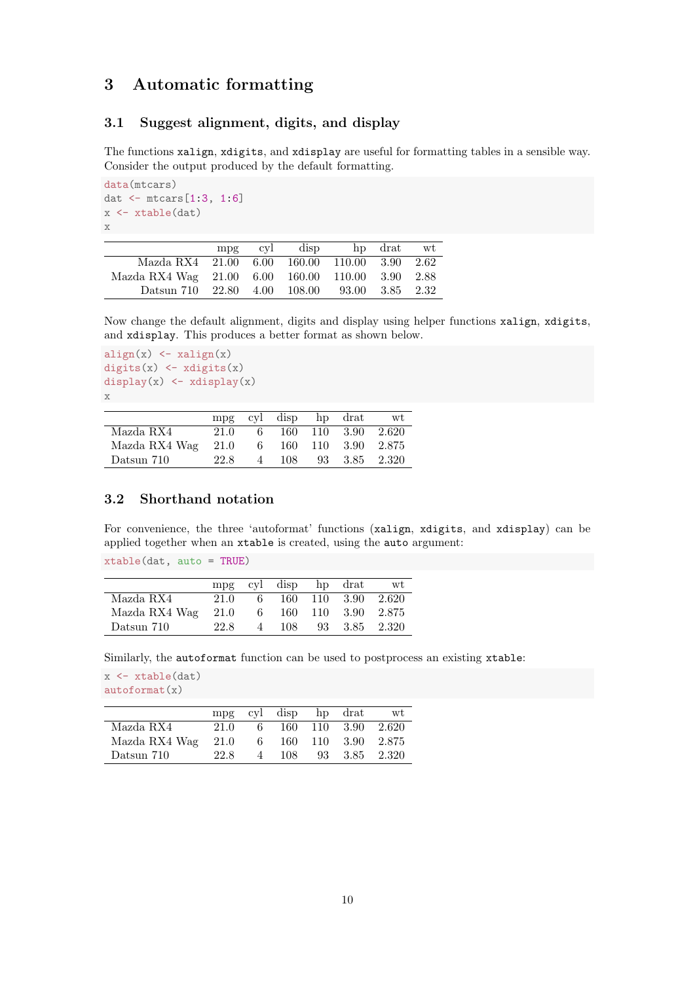# <span id="page-9-0"></span>3 Automatic formatting

#### <span id="page-9-1"></span>3.1 Suggest alignment, digits, and display

The functions xalign, xdigits, and xdisplay are useful for formatting tables in a sensible way. Consider the output produced by the default formatting.

```
data(mtcars)
dat <- mtcars[1:3, 1:6]
x \leftarrow xtable(data)x
```

|                                                          | mpg | cvl | disp | hp drat | wt   |
|----------------------------------------------------------|-----|-----|------|---------|------|
| Mazda RX4 21.00 6.00 160.00 110.00 3.90                  |     |     |      |         | 2.62 |
| Mazda RX4 Wag 21.00 6.00 160.00 110.00 3.90 2.88         |     |     |      |         |      |
| Datsun 710 $22.80$ $4.00$ $108.00$ $93.00$ $3.85$ $2.32$ |     |     |      |         |      |

Now change the default alignment, digits and display using helper functions xalign, xdigits, and xdisplay. This produces a better format as shown below.

```
align(x) <- xalign(x)digits(x) \leftarrow x digits(x)display(x) \leftarrow xdisplay(x)
x
```

|               | mpg   |               | cyl disp hp drat |               | wt                 |
|---------------|-------|---------------|------------------|---------------|--------------------|
| Mazda RX4     | 21.0  | 6.            |                  |               | 160 110 3.90 2.620 |
| Mazda RX4 Wag | -21.0 | $-6$          |                  |               | 160 110 3.90 2.875 |
| Datsun 710    | 22.8  | $\mathcal{A}$ | 108              | 93 3.85 2.320 |                    |

#### <span id="page-9-2"></span>3.2 Shorthand notation

For convenience, the three 'autoformat' functions (xalign, xdigits, and xdisplay) can be applied together when an xtable is created, using the auto argument:

xtable(dat, auto = TRUE)

|               |      |                | mpg cyl disp | hp drat            | wt |
|---------------|------|----------------|--------------|--------------------|----|
| Mazda RX4     | 21.0 | -6             |              | 160 110 3.90 2.620 |    |
| Mazda RX4 Wag | 21.0 | 6 <sup>6</sup> |              | 160 110 3.90 2.875 |    |
| Datsun 710    | 22.8 | $\mathcal{A}$  | 108.         | 93 3.85 2.320      |    |

Similarly, the autoformat function can be used to postprocess an existing xtable:

x <- xtable(dat) autoformat(x)

|               | mpg  |                    | cyl disp hp drat |                    | wt                 |
|---------------|------|--------------------|------------------|--------------------|--------------------|
| Mazda RX4     | 21.0 | 6.                 |                  | 160 110 3.90 2.620 |                    |
| Mazda RX4 Wag | 21.0 | 6 <sup>6</sup>     |                  |                    | 160 110 3.90 2.875 |
| Datsun 710    | 22.8 | $\mathbf{\Lambda}$ | 108              | 93 3.85 2.320      |                    |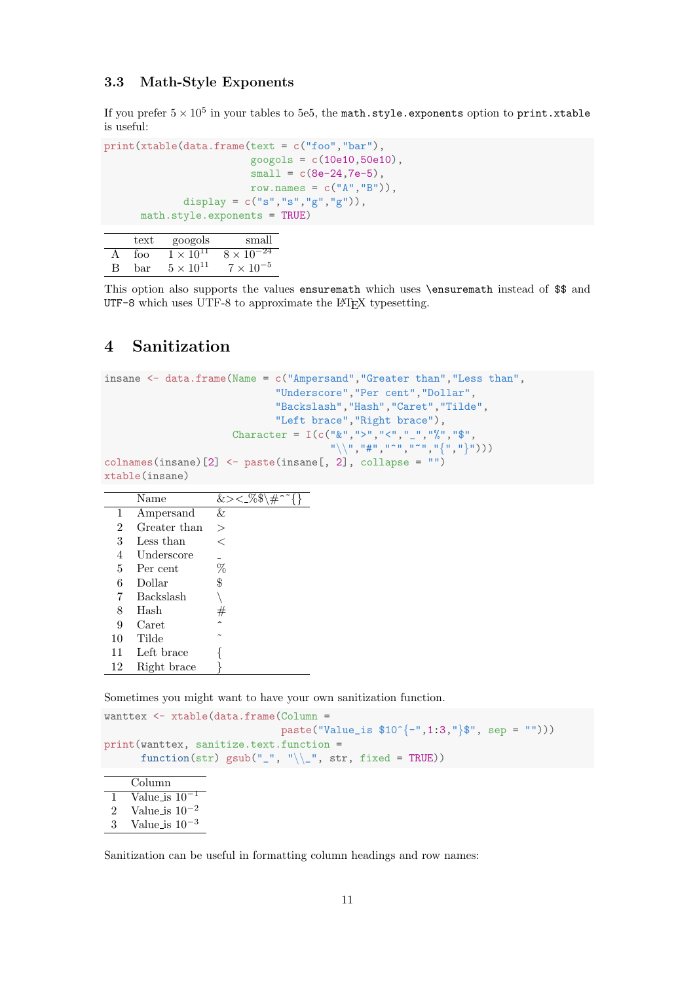#### <span id="page-10-0"></span>3.3 Math-Style Exponents

If you prefer  $5\times10^5$  in your tables to 5e5, the math.style.exponents option to  $\texttt{print}.\texttt{stable}$ is useful:

```
print(xtable(data.frame(text = c("foo","bar"),
                         googols = c(10e10, 50e10),
                         small = c(8e-24, 7e-5),
                        row.names = c("A", "B")),
             display = c("s", "s", "g", "g")),
      math.style.exponents = TRUE)
```
 $\begin{tabular}{ll} text & goods & small \\ \hline foo & 1\times 10^{11} & 8\times 10^{-24} \end{tabular}$  $\begin{array}{llll} \text{A} & \text{foo} & 1 \times 10^{11} & 8 \times 10^{-24} \\ \text{B} & \text{bar} & 5 \times 10^{11} & 7 \times 10^{-5} \end{array}$ B bar  $5 \times 10^{11}$   $7 \times 10^{-5}$ 

This option also supports the values ensuremath which uses \ensuremath instead of \$\$ and UTF-8 which uses UTF-8 to approximate the L<sup>A</sup>T<sub>F</sub>X typesetting.

# <span id="page-10-1"></span>4 Sanitization

```
insane \leq data.frame(Name = c("Ampersand","Greater than","Less than",
                                     "Underscore","Per cent","Dollar",
                                     "Backslash","Hash","Caret","Tilde",
                                     "Left brace","Right brace"),
                            Character = I(c("w", ">", "<", "__", "%", "$",\{\mathbb{R}^n\setminus\{\mathbb{R}^n, \mathbb{R}^n, \mathbb{R}^{n\times n}, \mathbb{R}^n, \mathbb{R}^n, \mathbb{R}^n\})colnames(insane)[2] <- paste(insane[, 2], collapse = "")
xtable(insane)
```

|                | Name         | $\overline{\&}<< 0.9$ |
|----------------|--------------|-----------------------|
| 1              | Ampersand    | &                     |
| $\overline{2}$ | Greater than | $\geq$                |
| 3              | Less than    | ⇐                     |
| 4              | Underscore   |                       |
| 5              | Per cent     | %                     |
| 6              | Dollar       | \$                    |
| 7              | Backslash    |                       |
| 8              | Hash         | $^{\#}$               |
| 9              | Caret        |                       |
| 10             | Tilde        |                       |
| 11             | Left brace   |                       |
| 12             | Right brace  |                       |

Sometimes you might want to have your own sanitization function.

```
wanttex <- xtable(data.frame(Column =
                             paste("Value_is $10^{-}{-}",1:3,"}$", sep = "")))
print(wanttex, sanitize.text.function =
      function(str) gsub("_", "\\_", str, fixed = TRUE))
```

```
Column
1 Value_is 10^{-1}2 Value_is 10^{\mathrm{-2}}3 Value is 10−3
```
Sanitization can be useful in formatting column headings and row names: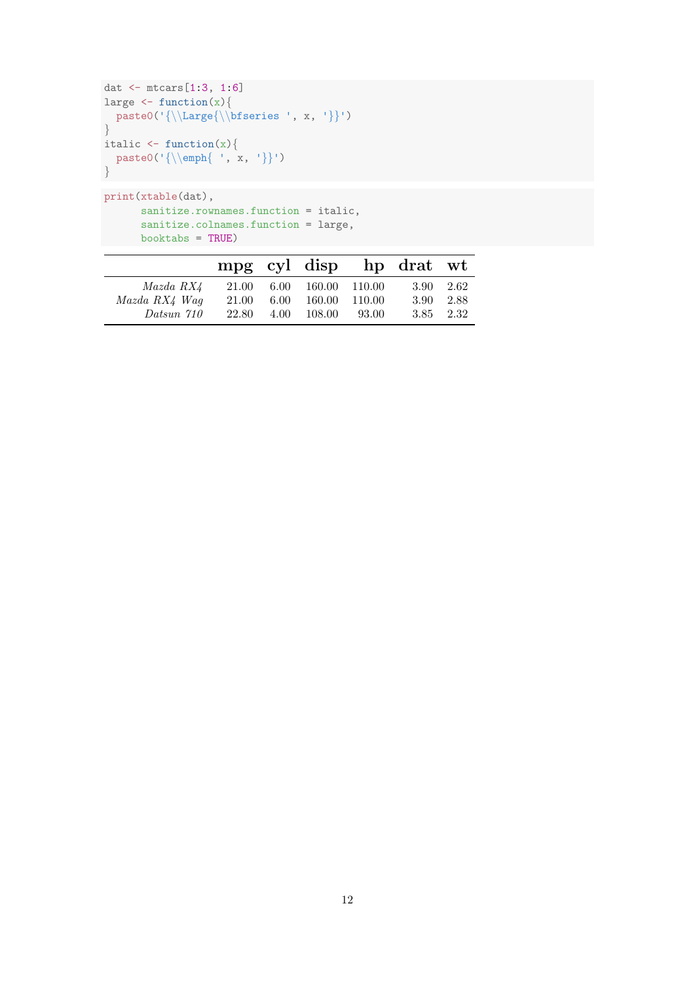```
dat <- mtcars[1:3, 1:6]
large \leftarrow function(x){
 paste0('{\\Large{\\bfseries ', x, '}}')
}
italic \leftarrow function(x){
paste0('{\\emph{ ', x, '}}')
}
print(xtable(dat),
```

```
sanitize.rownames.function = italic,
   sanitize.colnames.function = large,
booktabs = TRUE)
```

|               |       |          |                          |       | mpg cyl disp hp drat wt |       |
|---------------|-------|----------|--------------------------|-------|-------------------------|-------|
| Mazda RX4     |       |          | 21.00 6.00 160.00 110.00 |       | $3.90 \quad 2.62$       |       |
| Mazda RX4 Waq | 21.00 | $6.00\,$ | 160.00 110.00            |       | 3.90                    | -2.88 |
| Datsun 710    | 22.80 | 4.00     | 108.00                   | 93.00 | 3.85 2.32               |       |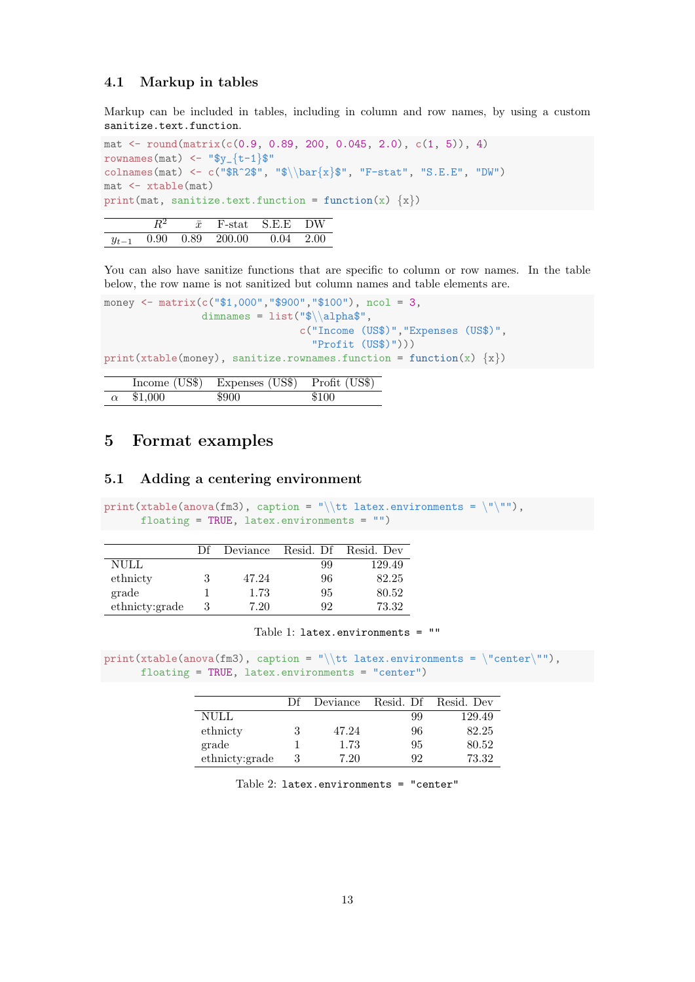#### <span id="page-12-0"></span>4.1 Markup in tables

Markup can be included in tables, including in column and row names, by using a custom sanitize.text.function.

```
mat \le round(matrix(c(0.9, 0.89, 200, 0.045, 2.0), c(1, 5)), 4)
rownames(mat) \langle - "$y_{t-1}$"
colnames(mat) <- c("$R^2$", "$\\bar{x}$", "F-stat", "S.E.E", "DW")
mat <- xtable(mat)
print(mat, sanitize.text.function = function(x) \{x\})
```

|           |  |                                                      | F-stat S.E.E DW |  |
|-----------|--|------------------------------------------------------|-----------------|--|
| $y_{t-1}$ |  | $0.90 \quad 0.89 \quad 200.00 \quad 0.04 \quad 2.00$ |                 |  |

You can also have sanitize functions that are specific to column or row names. In the table below, the row name is not sanitized but column names and table elements are.

```
money <- matrix(c("$1,000", "$900", "$100"), ncol = 3,dimnames = list("$\lambda$",
                                 c("Income (US$)","Expenses (US$)",
                                   "Profit (US$)")))
print(xtable(money), sanitize.rownames.function = function(x) \{x\})
```

|         | Income (US\$) Expenses (US\$) Profit (US\$) |       |
|---------|---------------------------------------------|-------|
| \$1,000 | \$900                                       | \$100 |

# <span id="page-12-1"></span>5 Format examples

#### <span id="page-12-2"></span>5.1 Adding a centering environment

print(xtable(anova(fm3), caption = "\\tt latex.environments = \"\""), floating = TRUE, latex.environments =  $"$ )

|                | Df | Deviance |    | Resid. Df Resid. Dev |
|----------------|----|----------|----|----------------------|
| <b>NULL</b>    |    |          | 99 | 129.49               |
| ethnicty       | 3  | 47.24    | 96 | 82.25                |
| grade          |    | 1.73     | 95 | 80.52                |
| ethnicty:grade | 3  | 7.20     | 92 | 73.32                |

#### Table 1: latex.environments = ""

print(xtable(anova(fm3), caption = "\\tt latex.environments = \"center\""), floating = TRUE, latex.environments = "center")

|                | Df | Deviance | Resid. Df | Resid. Dev |
|----------------|----|----------|-----------|------------|
| NULL           |    |          | 99        | 129.49     |
| ethnicty       | 3  | 47.24    | 96        | 82.25      |
| grade          |    | 1.73     | 95        | 80.52      |
| ethnicty:grade |    | 7.20     | 92        | 73.32      |

Table 2: latex.environments = "center"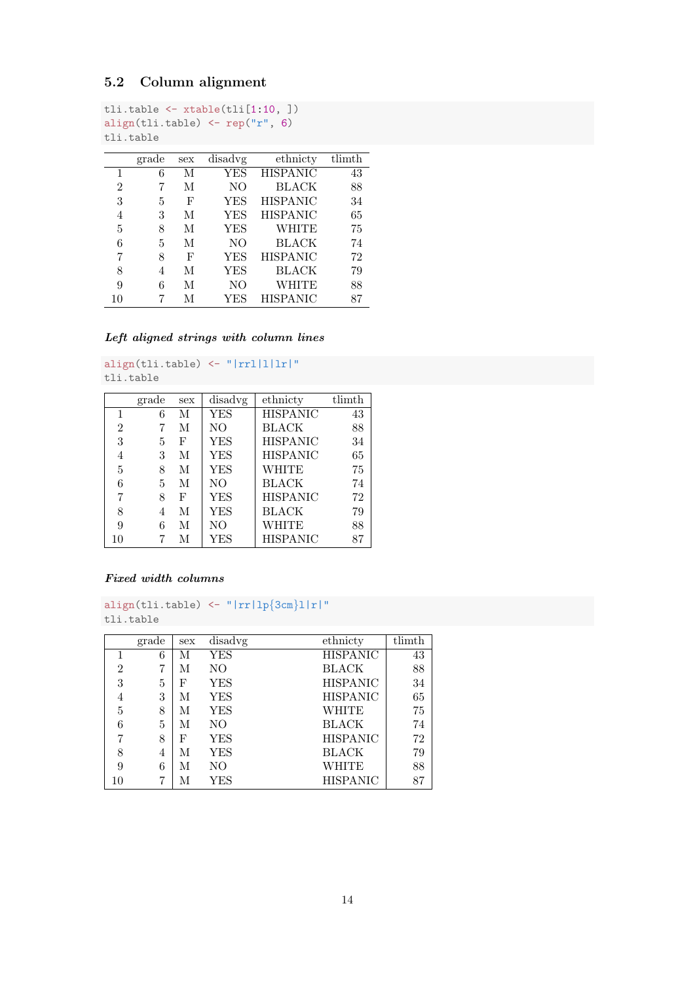### <span id="page-13-0"></span>5.2 Column alignment

```
tli.table <- xtable(tli[1:10, ])
align(tli.table) <- rep("r", 6)
tli.table
```

|                | grade | sex | disadvg        | ethnicty        | $t$ limth |
|----------------|-------|-----|----------------|-----------------|-----------|
| 1              | 6     | М   | YES            | <b>HISPANIC</b> | 43        |
| $\overline{2}$ |       | М   | NΟ             | BLACK           | 88        |
| 3              | 5     | F   | YES            | <b>HISPANIC</b> | 34        |
| 4              | 3     | М   | <b>YES</b>     | <b>HISPANIC</b> | 65        |
| 5              | 8     | М   | YES            | WHITE           | 75        |
| 6              | 5     | М   | NO             | BLACK           | 74        |
| 7              | 8     | F   | YES            | <b>HISPANIC</b> | 72        |
| 8              | 4     | М   | YES            | BLACK           | 79        |
| 9              | 6     | М   | N <sub>O</sub> | WHITE           | 88        |
| 10             |       | М   | YES            | <b>HISPANIC</b> | 87        |

Left aligned strings with column lines

align(tli.table) <- "|rrl|l|lr|" tli.table

|                | grade | sex | disadvg        | ethnicty        | $\overline{\text{tlim}}$ th |
|----------------|-------|-----|----------------|-----------------|-----------------------------|
| 1              | 6     | М   | <b>YES</b>     | <b>HISPANIC</b> | 43                          |
| $\overline{2}$ |       | М   | N <sub>O</sub> | <b>BLACK</b>    | 88                          |
| 3              | 5     | F   | <b>YES</b>     | <b>HISPANIC</b> | 34                          |
| 4              | 3     | М   | <b>YES</b>     | <b>HISPANIC</b> | 65                          |
| 5              | 8     | М   | <b>YES</b>     | WHITE           | 75                          |
| 6              | 5     | М   | N <sub>O</sub> | <b>BLACK</b>    | 74                          |
| 7              | 8     | F   | <b>YES</b>     | <b>HISPANIC</b> | 72                          |
| 8              | 4     | М   | <b>YES</b>     | <b>BLACK</b>    | 79                          |
| 9              | 6     | М   | N <sub>O</sub> | WHITE           | 88                          |
| 10             |       | М   | YES            | <b>HISPANIC</b> | 87                          |

#### Fixed width columns

```
align(tli.table) <- "|rr|lp{3cm}l|r|"
tli.table
```

|                | grade | sex | disadvg    | ethnicty        | tlimth |
|----------------|-------|-----|------------|-----------------|--------|
| 1              | 6     | М   | YES        | <b>HISPANIC</b> | 43     |
| $\overline{2}$ | 7     | М   | NΟ         | BLACK           | 88     |
| 3              | 5     | F   | <b>YES</b> | <b>HISPANIC</b> | 34     |
| 4              | 3     | М   | YES        | <b>HISPANIC</b> | 65     |
| 5              | 8     | М   | YES        | WHITE           | 75     |
| 6              | 5     | М   | NΟ         | BLACK           | 74     |
|                | 8     | F   | YES        | <b>HISPANIC</b> | 72     |
| 8              | 4     | М   | YES        | BLACK           | 79     |
| 9              | 6     | М   | NO         | WHITE           | 88     |
| 10             | 7     | М   | YES        | <b>HISPANIC</b> | 87     |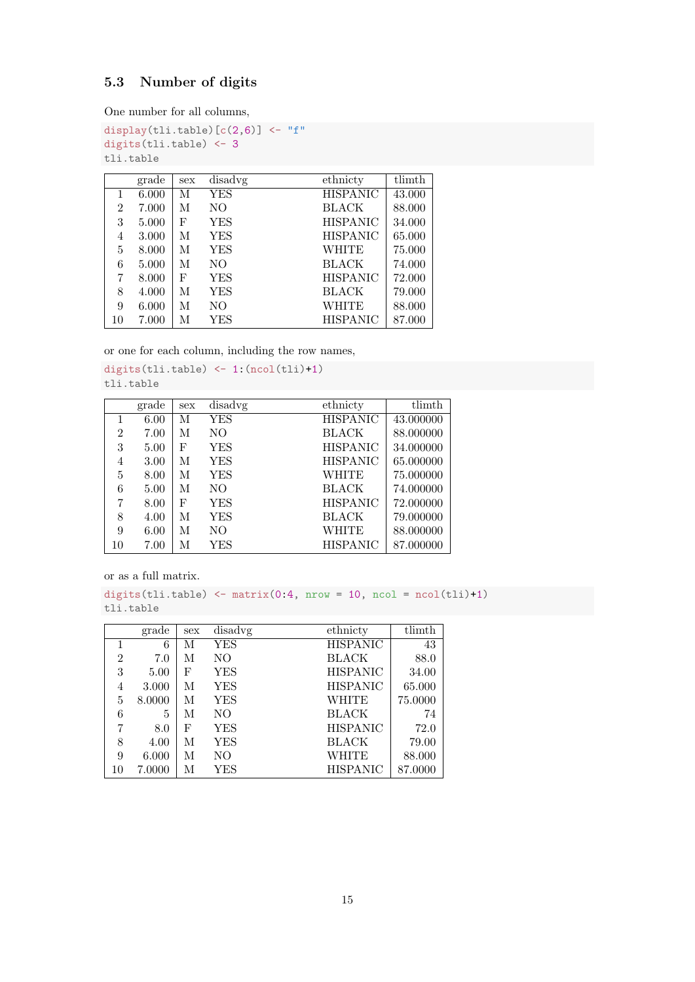### <span id="page-14-0"></span>5.3 Number of digits

One number for all columns,

```
display(tli.table)[c(2,6)] <- "f"
digits(tli.table) <- 3
tli.table
```

|    | grade | sex | disadvg    | ethnicty        | tlimth |
|----|-------|-----|------------|-----------------|--------|
| 1  | 6.000 | М   | YES        | <b>HISPANIC</b> | 43.000 |
| 2  | 7.000 | M   | NO         | <b>BLACK</b>    | 88.000 |
| 3  | 5.000 | F   | <b>YES</b> | <b>HISPANIC</b> | 34.000 |
| 4  | 3.000 | М   | <b>YES</b> | <b>HISPANIC</b> | 65.000 |
| 5  | 8.000 | М   | YES        | WHITE           | 75.000 |
| 6  | 5.000 | М   | NO.        | <b>BLACK</b>    | 74.000 |
| 7  | 8.000 | F   | <b>YES</b> | <b>HISPANIC</b> | 72.000 |
| 8  | 4.000 | M   | YES        | BLACK           | 79.000 |
| 9  | 6.000 | М   | NO         | WHITE           | 88.000 |
| 10 | 7.000 | М   | YES        | <b>HISPANIC</b> | 87.000 |

or one for each column, including the row names,

```
digits(tli.table) <- 1:(ncol(tli)+1)
tli.table
```

|                | grade | sex | disadvg    | ethnicty        | tlimth    |
|----------------|-------|-----|------------|-----------------|-----------|
|                | 6.00  | М   | <b>YES</b> | <b>HISPANIC</b> | 43.000000 |
| $\overline{2}$ | 7.00  | М   | NO         | <b>BLACK</b>    | 88.000000 |
| 3              | 5.00  | F   | YES        | <b>HISPANIC</b> | 34.000000 |
| 4              | 3.00  | М   | YES        | <b>HISPANIC</b> | 65.000000 |
| 5              | 8.00  | М   | YES        | WHITE           | 75.000000 |
| 6              | 5.00  | М   | NΟ         | <b>BLACK</b>    | 74.000000 |
| 7              | 8.00  | F   | YES        | <b>HISPANIC</b> | 72.000000 |
| 8              | 4.00  | М   | YES        | <b>BLACK</b>    | 79.000000 |
| 9              | 6.00  | М   | NO         | <b>WHITE</b>    | 88.000000 |
| 10             | 7.00  | М   | YES        | <b>HISPANIC</b> | 87.000000 |

or as a full matrix.

digits(tli.table)  $\leftarrow$  matrix(0:4, nrow = 10, ncol = ncol(tli)+1) tli.table

|                | grade  | sex | disadvg    | ethnicty        | tlimth  |
|----------------|--------|-----|------------|-----------------|---------|
|                | 6      | М   | YES        | <b>HISPANIC</b> | 43      |
| $\overline{2}$ | 7.0    | М   | NO         | <b>BLACK</b>    | 88.0    |
| 3              | 5.00   | F   | <b>YES</b> | <b>HISPANIC</b> | 34.00   |
| 4              | 3.000  | М   | YES        | <b>HISPANIC</b> | 65.000  |
| 5              | 8.0000 | М   | YES        | WHITE           | 75.0000 |
| 6              | 5      | М   | NO         | <b>BLACK</b>    | 74      |
| 7              | 8.0    | F   | <b>YES</b> | <b>HISPANIC</b> | 72.0    |
| 8              | 4.00   | М   | YES        | <b>BLACK</b>    | 79.00   |
| 9              | 6.000  | М   | NΟ         | WHITE           | 88.000  |
| 10             | 7.0000 | М   | YES        | <b>HISPANIC</b> | 87.0000 |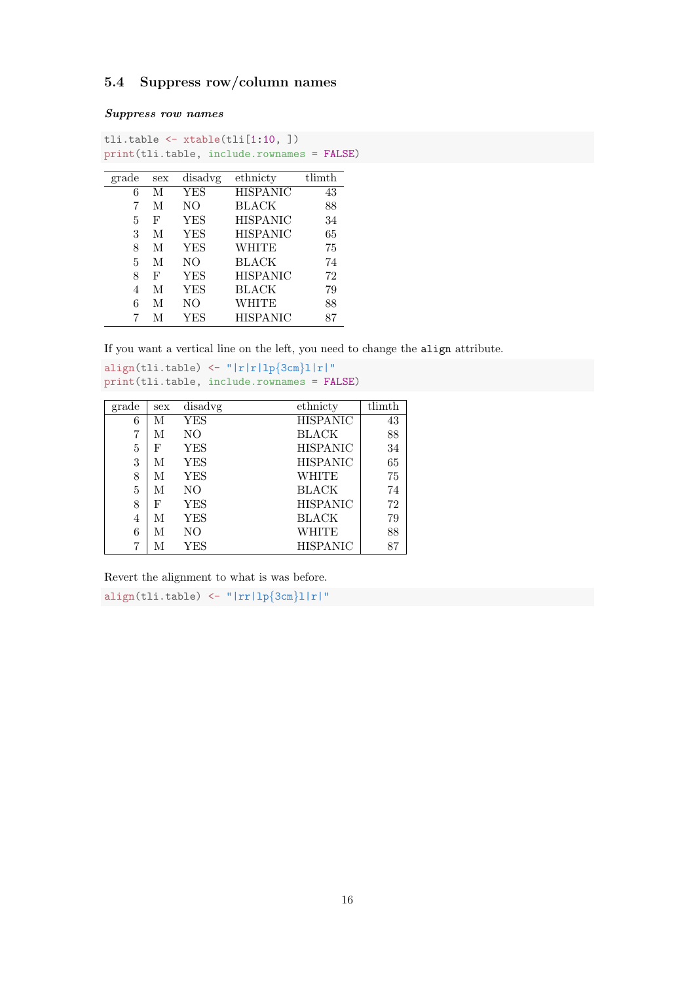#### <span id="page-15-0"></span>5.4 Suppress row/column names

Suppress row names

```
tli.table <- xtable(tli[1:10, ])
print(tli.table, include.rownames = FALSE)
```

| grade | sex | disadvg    | ethnicty        | tlimth |
|-------|-----|------------|-----------------|--------|
| 6     | М   | <b>YES</b> | <b>HISPANIC</b> | 43     |
| 7     | М   | NO         | BLACK           | 88     |
| 5     | F   | <b>YES</b> | <b>HISPANIC</b> | 34     |
| 3     | М   | <b>YES</b> | HISPANIC        | 65     |
| 8     | M   | <b>YES</b> | WHITE           | 75     |
| 5     | M   | NO         | BLACK           | 74     |
| 8     | F   | YES        | <b>HISPANIC</b> | 72     |
| 4     | М   | <b>YES</b> | BLACK           | 79     |
| 6     | М   | NΟ         | WHITE           | 88     |
| 7     | М   | YES        | <b>HISPANIC</b> | 87     |

If you want a vertical line on the left, you need to change the align attribute.

```
align(tli.table) \langle - \|^{\prime} |r|r| \ln \{3 \text{cm} |1|r| \}"
print(tli.table, include.rownames = FALSE)
```

| grade | sex | disadvg | ethnicty        | tlimth |
|-------|-----|---------|-----------------|--------|
| 6     | М   | YES     | <b>HISPANIC</b> | 43     |
| 7     | М   | NΟ      | <b>BLACK</b>    | 88     |
| 5     | F   | YES     | <b>HISPANIC</b> | 34     |
| 3     | М   | YES     | <b>HISPANIC</b> | 65     |
| 8     | М   | YES     | WHITE           | 75     |
| 5     | М   | NΟ      | <b>BLACK</b>    | 74     |
| 8     | F   | YES     | <b>HISPANIC</b> | 72     |
| 4     | М   | YES     | <b>BLACK</b>    | 79     |
| 6     | М   | NO      | WHITE           | 88     |
| 7     | М   | YES     | <b>HISPANIC</b> | 87     |

Revert the alignment to what is was before.

align(tli.table) <- "| $rr|lp{3cm}||r|$ "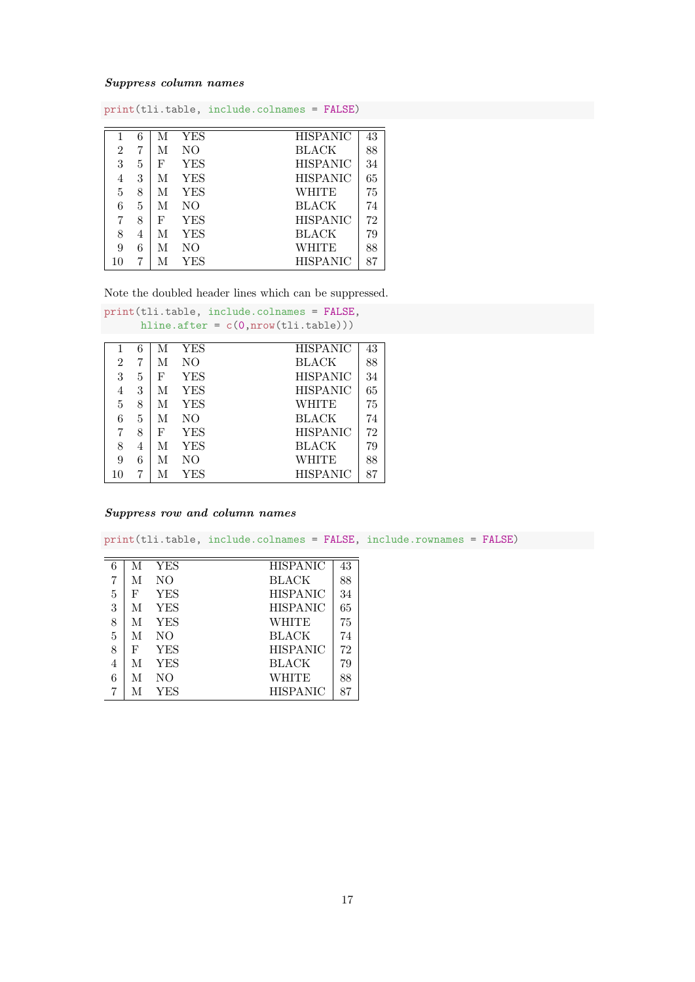#### Suppress column names

| print(tli.table, include.colnames = FALSE) |   |   |                |                 |    |  |  |
|--------------------------------------------|---|---|----------------|-----------------|----|--|--|
|                                            | 6 | М | <b>YES</b>     | <b>HISPANIC</b> | 43 |  |  |
| 2                                          | 7 | М | N <sub>O</sub> | <b>BLACK</b>    | 88 |  |  |
| 3                                          | 5 | F | <b>YES</b>     | <b>HISPANIC</b> | 34 |  |  |
| 4                                          | 3 | М | <b>YES</b>     | <b>HISPANIC</b> | 65 |  |  |
| 5                                          | 8 | М | <b>YES</b>     | WHITE           | 75 |  |  |
| 6                                          | 5 | М | N <sub>O</sub> | <b>BLACK</b>    | 74 |  |  |
| 7                                          | 8 | F | <b>YES</b>     | <b>HISPANIC</b> | 72 |  |  |
| 8                                          | 4 | М | <b>YES</b>     | <b>BLACK</b>    | 79 |  |  |
| 9                                          | 6 | М | NΟ             | WHITE           | 88 |  |  |
| 10                                         | 7 | М | YES            | <b>HISPANIC</b> | 87 |  |  |

Note the doubled header lines which can be suppressed.

| print(tli.table, include.colnames = FALSE, |   |   |            |                 |    |  |  |  |  |
|--------------------------------------------|---|---|------------|-----------------|----|--|--|--|--|
| hline.after = $c(0, nrow(tli.table)))$     |   |   |            |                 |    |  |  |  |  |
|                                            | 6 | М | <b>YES</b> | <b>HISPANIC</b> | 43 |  |  |  |  |
| 2                                          | 7 | М | NO.        | <b>BLACK</b>    | 88 |  |  |  |  |
| 3                                          | 5 | F | <b>YES</b> | <b>HISPANIC</b> | 34 |  |  |  |  |
| 4                                          | 3 | М | YES        | <b>HISPANIC</b> | 65 |  |  |  |  |
| 5                                          | 8 | M | YES        | WHITE           | 75 |  |  |  |  |
| 6                                          | 5 | М | NO.        | <b>BLACK</b>    | 74 |  |  |  |  |
| 7                                          | 8 | F | YES        | <b>HISPANIC</b> | 72 |  |  |  |  |
| 8                                          | 4 | М | YES        | <b>BLACK</b>    | 79 |  |  |  |  |
| 9                                          | 6 | М | NO.        | WHITE           | 88 |  |  |  |  |
| 10                                         | 7 | М | YES        | <b>HISPANIC</b> | 87 |  |  |  |  |

#### Suppress row and column names

| print(tli.table, include.colnames = FALSE, include.rownames = FALSE) |   |            |                 |    |  |
|----------------------------------------------------------------------|---|------------|-----------------|----|--|
|                                                                      |   |            |                 |    |  |
| 6                                                                    | M | YES        | <b>HISPANIC</b> | 43 |  |
| 7                                                                    | M | NO.        | <b>BLACK</b>    | 88 |  |
| 5                                                                    | F | YES        | <b>HISPANIC</b> | 34 |  |
| 3                                                                    | М | YES        | <b>HISPANIC</b> | 65 |  |
| 8                                                                    | М | <b>YES</b> | WHITE           | 75 |  |
| 5                                                                    | М | NO.        | <b>BLACK</b>    | 74 |  |
| 8                                                                    | F | <b>YES</b> | <b>HISPANIC</b> | 72 |  |
| 4                                                                    | М | <b>YES</b> | <b>BLACK</b>    | 79 |  |
| 6                                                                    | М | NO.        | WHITE           | 88 |  |
| 7                                                                    | М | YES        | <b>HISPANIC</b> | 87 |  |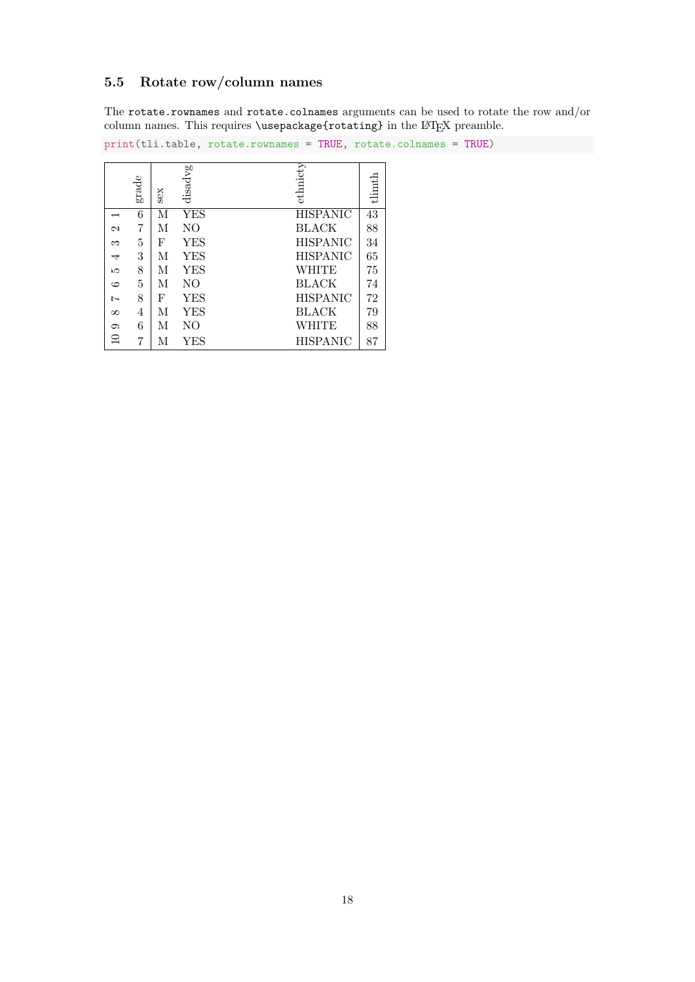### <span id="page-17-0"></span>5.5 Rotate row/column names

The rotate.rownames and rotate.colnames arguments can be used to rotate the row and/or column names. This requires \usepackage{rotating} in the L<sup>AT</sup>EX preamble.

print(tli.table, rotate.rownames = TRUE, rotate.colnames = TRUE)

|          | grade | Sex | disadvg | ethnicty        | tlimth |
|----------|-------|-----|---------|-----------------|--------|
|          | 6     | М   | YES     | <b>HISPANIC</b> | 43     |
| N        | 7     | M   | NО      | <b>BLACK</b>    | 88     |
| S        | 5     | F   | YES     | <b>HISPANIC</b> | 34     |
| 4        | 3     | М   | YES     | <b>HISPANIC</b> | 65     |
| مد       | 8     | M   | YES     | WHITE           | 75     |
| ల        | 5     | М   | NO.     | <b>BLACK</b>    | 74     |
| Ņ        | 8     | F   | YES     | <b>HISPANIC</b> | 72     |
| $\infty$ | 4     | М   | YES     | <b>BLACK</b>    | 79     |
| ౧        | 6     | М   | NО      | WHITE           | 88     |
| $\Xi$    | 7     | М   | YES     | HISPANIC        | 87     |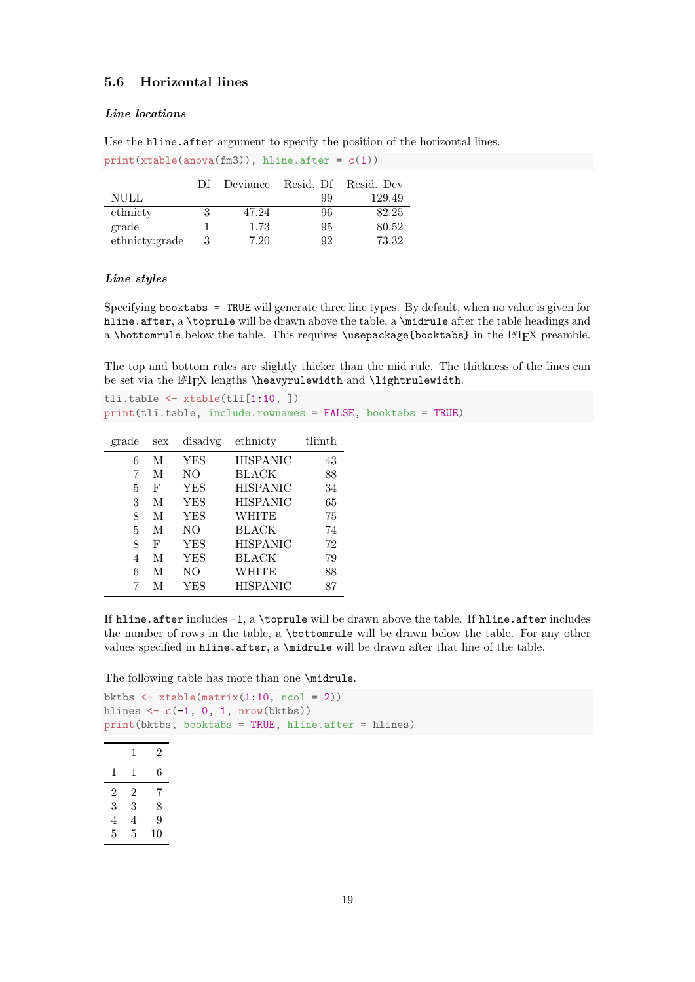#### <span id="page-18-0"></span>5.6 Horizontal lines

#### Line locations

Use the hline.after argument to specify the position of the horizontal lines.

|                | D£ | Deviance |    | Resid. Df Resid. Dev |
|----------------|----|----------|----|----------------------|
| <b>NULL</b>    |    |          | 99 | 129.49               |
| ethnicty       |    | 47.24    | 96 | 82.25                |
| grade          |    | 1.73     | 95 | 80.52                |
| ethnicty:grade |    | 7.20     | 92 | 73.32                |

 $print(xtable(anova(fm3))$ , hline.after =  $c(1)$ )

#### Line styles

Specifying booktabs = TRUE will generate three line types. By default, when no value is given for hline.after, a \toprule will be drawn above the table, a \midrule after the table headings and a \bottomrule below the table. This requires \usepackage{booktabs} in the L<sup>AT</sup>EX preamble.

The top and bottom rules are slightly thicker than the mid rule. The thickness of the lines can be set via the  $\LaTeX$  lengths \heavyrulewidth and \lightrulewidth.

tli.table <- xtable(tli[1:10, ]) print(tli.table, include.rownames = FALSE, booktabs = TRUE)

| grade | disadvg<br>sex |            | ethnicty        | tlimth |
|-------|----------------|------------|-----------------|--------|
| 6     | М              | YES        | <b>HISPANIC</b> | 43     |
| 7     | М              | NO.        | BLACK           | 88     |
| 5     | F              | YES        | <b>HISPANIC</b> | 34     |
| 3     | М              | YES        | <b>HISPANIC</b> | 65     |
| 8     | М              | <b>YES</b> | <b>WHITE</b>    | 75     |
| 5     | М              | NO.        | <b>BLACK</b>    | 74     |
| 8     | F              | YES        | <b>HISPANIC</b> | 72     |
| 4     | М              | YES        | BLACK           | 79     |
| 6     | М              | NO.        | WHITE           | 88     |
|       | М              | YES        | <b>HISPANIC</b> | 87     |

If hline.after includes -1, a \toprule will be drawn above the table. If hline.after includes the number of rows in the table, a \bottomrule will be drawn below the table. For any other values specified in hline.after, a  $\mathrm{indrule}$  will be drawn after that line of the table.

The following table has more than one \midrule.

```
bktbs \leftarrow xtable(matrix(1:10, ncol = 2))
hlines \leftarrow c(-1, 0, 1, nrow(bktbs))print(bktbs, booktabs = TRUE, hline.after = hlines)
```

|                | 1 | 2  |
|----------------|---|----|
| 1              | 1 | 6  |
| $\overline{2}$ | 2 | 7  |
| 3              | 3 | 8  |
| 4              | 4 | 9  |
| 5              | 5 | 10 |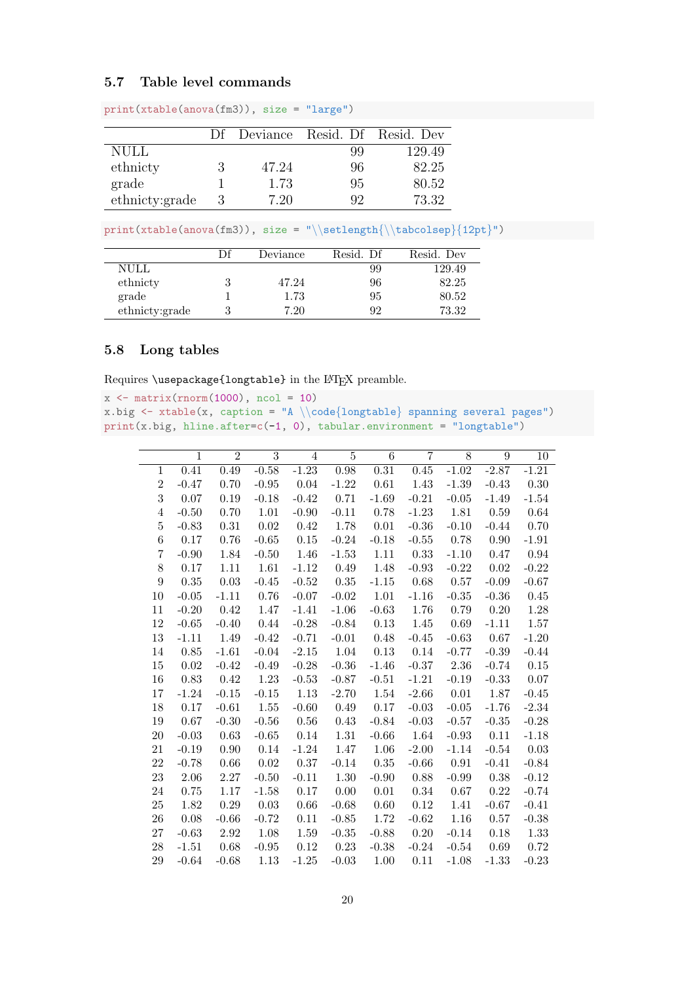#### <span id="page-19-0"></span>5.7 Table level commands

|                |       |     | Df Deviance Resid. Df Resid. Dev |
|----------------|-------|-----|----------------------------------|
| <b>NULL</b>    |       | 99  | 129.49                           |
| ethnicty       | 47.24 | 96  | 82.25                            |
| grade          | 1.73  | 95  | 80.52                            |
| ethnicty:grade | 7 20  | Q9. | 73.32                            |

print(xtable(anova(fm3)), size = "large")

 $print(xtable(anova(fm3)), size = "\setlength{\backslash}tabcolsep]{12pt}")$ 

|                | Df | Deviance | Resid. Df | Resid. Dev |
|----------------|----|----------|-----------|------------|
|                |    |          |           |            |
| NULL           |    |          | 99        | 129.49     |
| ethnicty       |    | 47.24    | 96        | 82.25      |
| grade          |    | 1.73     | 95        | 80.52      |
| ethnicty:grade |    | 7.20     | 92        | 73.32      |

#### <span id="page-19-1"></span>5.8 Long tables

Requires \usepackage{longtable} in the LATEX preamble.

```
x \leftarrow \text{matrix}(rnorm(1000), ncol = 10)x.big \leftarrow xtable(x, caption = "A \\code{longtable} spanning several pages")
print(x.big, hline.after=c(-1, 0), tabular.environment = "longtable")
```

|                | $\mathbf{1}$ | $\overline{2}$ | $\overline{3}$ | $\overline{4}$ | $\overline{5}$ | 6        | $\overline{7}$ | 8       | $\boldsymbol{9}$ | 10      |
|----------------|--------------|----------------|----------------|----------------|----------------|----------|----------------|---------|------------------|---------|
| $\mathbf{1}$   | 0.41         | 0.49           | $-0.58$        | $-1.23$        | 0.98           | 0.31     | 0.45           | $-1.02$ | $-2.87$          | $-1.21$ |
| $\mathbf{2}$   | $-0.47$      | 0.70           | $-0.95$        | 0.04           | $-1.22$        | 0.61     | 1.43           | $-1.39$ | $-0.43$          | 0.30    |
| 3              | 0.07         | 0.19           | $-0.18$        | $-0.42$        | 0.71           | $-1.69$  | $-0.21$        | $-0.05$ | $-1.49$          | $-1.54$ |
| $\overline{4}$ | $-0.50$      | 0.70           | 1.01           | $-0.90$        | $-0.11$        | 0.78     | $-1.23$        | 1.81    | 0.59             | 0.64    |
| $\bf 5$        | $-0.83$      | 0.31           | 0.02           | 0.42           | 1.78           | $0.01\,$ | $-0.36$        | $-0.10$ | $-0.44$          | 0.70    |
| $\,6$          | 0.17         | 0.76           | $-0.65$        | $0.15\,$       | $-0.24$        | $-0.18$  | $-0.55$        | 0.78    | 0.90             | $-1.91$ |
| 7              | $-0.90$      | 1.84           | $-0.50$        | 1.46           | $-1.53$        | 1.11     | $0.33\,$       | $-1.10$ | 0.47             | 0.94    |
| 8              | 0.17         | $1.11\,$       | 1.61           | $-1.12$        | 0.49           | 1.48     | $-0.93$        | $-0.22$ | 0.02             | $-0.22$ |
| 9              | 0.35         | 0.03           | $-0.45$        | $-0.52$        | $0.35\,$       | $-1.15$  | 0.68           | 0.57    | $-0.09$          | $-0.67$ |
| 10             | $-0.05$      | $-1.11$        | 0.76           | $-0.07$        | $-0.02$        | 1.01     | $-1.16$        | $-0.35$ | $-0.36$          | 0.45    |
| 11             | $-0.20$      | 0.42           | 1.47           | $-1.41$        | $-1.06$        | $-0.63$  | 1.76           | 0.79    | 0.20             | 1.28    |
| 12             | $-0.65$      | $-0.40$        | 0.44           | $-0.28$        | $-0.84$        | 0.13     | 1.45           | 0.69    | $-1.11$          | 1.57    |
| 13             | $-1.11$      | 1.49           | $-0.42$        | $-0.71$        | $-0.01$        | 0.48     | $-0.45$        | $-0.63$ | 0.67             | $-1.20$ |
| 14             | 0.85         | $-1.61$        | $-0.04$        | $-2.15$        | 1.04           | 0.13     | 0.14           | $-0.77$ | $-0.39$          | $-0.44$ |
| 15             | 0.02         | $-0.42$        | $-0.49$        | $-0.28$        | $-0.36$        | $-1.46$  | $-0.37$        | 2.36    | $-0.74$          | 0.15    |
| 16             | 0.83         | 0.42           | 1.23           | $-0.53$        | $-0.87$        | $-0.51$  | $-1.21$        | $-0.19$ | $-0.33$          | 0.07    |
| 17             | $-1.24$      | $-0.15$        | $-0.15$        | 1.13           | $-2.70$        | 1.54     | $-2.66$        | 0.01    | 1.87             | $-0.45$ |
| 18             | 0.17         | $-0.61$        | 1.55           | $-0.60$        | 0.49           | 0.17     | $-0.03$        | $-0.05$ | $-1.76$          | $-2.34$ |
| 19             | 0.67         | $-0.30$        | $-0.56$        | 0.56           | 0.43           | $-0.84$  | $-0.03$        | $-0.57$ | $-0.35$          | $-0.28$ |
| 20             | $-0.03$      | 0.63           | $-0.65$        | 0.14           | 1.31           | $-0.66$  | 1.64           | $-0.93$ | 0.11             | $-1.18$ |
| 21             | $-0.19$      | 0.90           | 0.14           | $-1.24$        | 1.47           | 1.06     | $-2.00$        | $-1.14$ | $-0.54$          | 0.03    |
| 22             | $-0.78$      | $0.66\,$       | 0.02           | 0.37           | $-0.14$        | $0.35\,$ | $-0.66$        | 0.91    | $-0.41$          | $-0.84$ |
| 23             | 2.06         | 2.27           | $-0.50$        | $-0.11$        | 1.30           | $-0.90$  | 0.88           | $-0.99$ | 0.38             | $-0.12$ |
| 24             | 0.75         | 1.17           | $-1.58$        | 0.17           | 0.00           | 0.01     | 0.34           | 0.67    | 0.22             | $-0.74$ |
| 25             | 1.82         | 0.29           | 0.03           | $0.66\,$       | $-0.68$        | 0.60     | $0.12\,$       | 1.41    | $-0.67$          | $-0.41$ |
| 26             | 0.08         | $-0.66$        | $-0.72$        | 0.11           | $-0.85$        | 1.72     | $-0.62$        | 1.16    | 0.57             | $-0.38$ |
| 27             | $-0.63$      | 2.92           | 1.08           | 1.59           | $-0.35$        | $-0.88$  | 0.20           | $-0.14$ | 0.18             | 1.33    |
| 28             | $-1.51$      | 0.68           | $-0.95$        | 0.12           | 0.23           | $-0.38$  | $-0.24$        | $-0.54$ | 0.69             | 0.72    |
| 29             | $-0.64$      | $-0.68$        | 1.13           | $-1.25$        | $-0.03$        | 1.00     | 0.11           | $-1.08$ | $-1.33$          | $-0.23$ |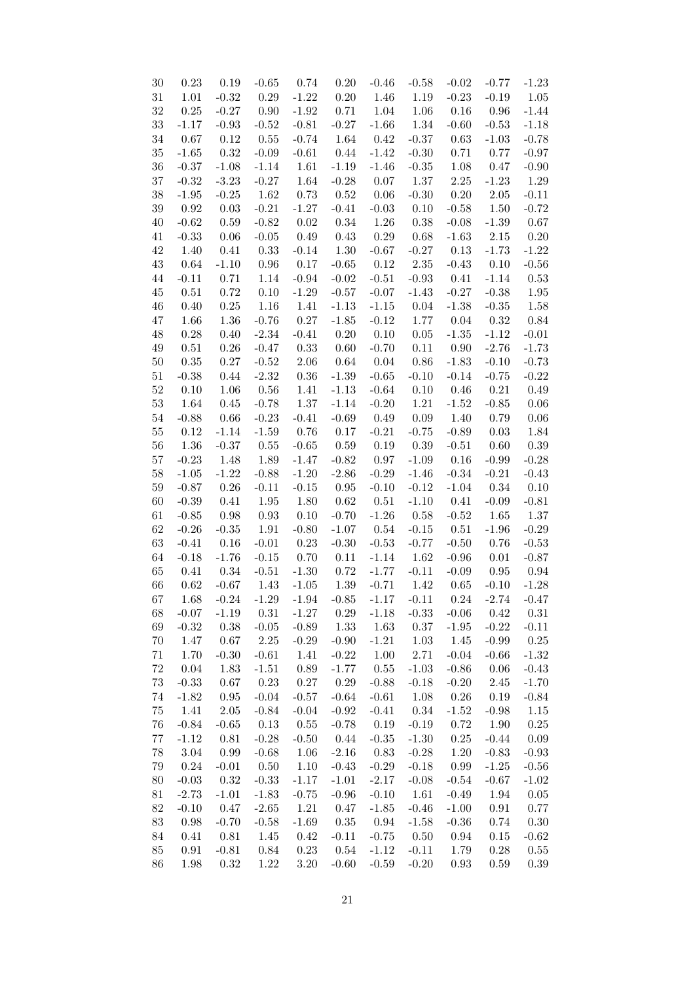| 30     | $0.23\,$ | 0.19          | $-0.65$  | 0.74           | $0.20\,$       | $-0.46$  | $-0.58$  | $-0.02$          | $-0.77$         | $-1.23$  |
|--------|----------|---------------|----------|----------------|----------------|----------|----------|------------------|-----------------|----------|
| 31     | 1.01     | $-0.32$       | 0.29     | $-1.22$        | 0.20           | 1.46     | 1.19     | $-0.23$          | $-0.19$         | 1.05     |
| $32\,$ | $0.25\,$ | $-0.27$       | $0.90\,$ | $-1.92$        | 0.71           | 1.04     | 1.06     | 0.16             | $0.96\,$        | $-1.44$  |
| 33     | $-1.17$  | $-0.93$       | $-0.52$  | $-0.81$        | $-0.27$        | $-1.66$  | 1.34     | $-0.60$          | $-0.53$         | $-1.18$  |
| 34     | $0.67\,$ | 0.12          | 0.55     | $-0.74$        | 1.64           | 0.42     | $-0.37$  | 0.63             | $-1.03$         | $-0.78$  |
| $35\,$ | $-1.65$  | 0.32          | $-0.09$  | $-0.61$        | 0.44           | $-1.42$  | $-0.30$  | 0.71             | 0.77            | $-0.97$  |
| 36     | $-0.37$  | $-1.08$       | $-1.14$  | 1.61           | $-1.19$        | $-1.46$  | $-0.35$  | 1.08             | 0.47            | $-0.90$  |
| $37\,$ | $-0.32$  | $-3.23$       | $-0.27$  | 1.64           | $-0.28$        | $0.07\,$ | 1.37     | $2.25\,$         | $-1.23$         | 1.29     |
| $38\,$ | $-1.95$  | $-0.25$       | 1.62     | 0.73           | 0.52           | $0.06\,$ | $-0.30$  | 0.20             | $2.05\,$        | $-0.11$  |
| $39\,$ | 0.92     | 0.03          | $-0.21$  | $-1.27$        | $-0.41$        | $-0.03$  | 0.10     | $-0.58$          | 1.50            | $-0.72$  |
| 40     | $-0.62$  | 0.59          | $-0.82$  | 0.02           | $0.34\,$       | 1.26     | $0.38\,$ | $-0.08$          | $-1.39$         | 0.67     |
| 41     | $-0.33$  | 0.06          | $-0.05$  | 0.49           | $0.43\,$       | $0.29\,$ | 0.68     | $-1.63$          | $2.15\,$        | $0.20\,$ |
| $42\,$ | 1.40     | 0.41          | 0.33     | $-0.14$        | 1.30           | $-0.67$  | $-0.27$  | 0.13             | $-1.73$         | $-1.22$  |
| $43\,$ | 0.64     | $-1.10$       | 0.96     | 0.17           | $-0.65$        | 0.12     | $2.35\,$ | $-0.43$          | 0.10            | $-0.56$  |
| 44     | $-0.11$  | 0.71          | 1.14     | $-0.94$        | $-0.02$        | $-0.51$  | $-0.93$  | 0.41             | $-1.14$         | 0.53     |
| $45\,$ | 0.51     | 0.72          | 0.10     | $-1.29$        | $-0.57$        | $-0.07$  | $-1.43$  | $-0.27$          | $-0.38$         | 1.95     |
| 46     | $0.40\,$ | $0.25\,$      | 1.16     | 1.41           | $-1.13$        | $-1.15$  | 0.04     | $-1.38$          | $-0.35$         | 1.58     |
| 47     | 1.66     | 1.36          | $-0.76$  | 0.27           | $-1.85$        | $-0.12$  | 1.77     | 0.04             | 0.32            | 0.84     |
| 48     | $0.28\,$ | 0.40          | $-2.34$  | $-0.41$        | $0.20\,$       | 0.10     | $0.05\,$ | $-1.35$          | $-1.12$         | $-0.01$  |
| 49     | 0.51     | 0.26          | $-0.47$  | 0.33           | 0.60           | $-0.70$  | 0.11     | 0.90             | $-2.76$         | $-1.73$  |
| $50\,$ | $0.35\,$ | $0.27\,$      | $-0.52$  | $2.06\,$       | 0.64           | 0.04     | $0.86\,$ | $-1.83$          | $-0.10$         | $-0.73$  |
|        | $-0.38$  |               |          | $0.36\,$       | $-1.39$        |          | $-0.10$  |                  |                 |          |
| $51\,$ |          | 0.44<br>1.06  | $-2.32$  |                |                | $-0.65$  |          | $-0.14$          | $-0.75$<br>0.21 | $-0.22$  |
| $52\,$ | $0.10\,$ |               | 0.56     | 1.41           | $-1.13$        | $-0.64$  | 0.10     | 0.46             |                 | 0.49     |
| $53\,$ | 1.64     | 0.45          | $-0.78$  | 1.37           | $-1.14$        | $-0.20$  | 1.21     | $-1.52$          | $-0.85$         | $0.06\,$ |
| $54\,$ | $-0.88$  | 0.66          | $-0.23$  | $-0.41$        | $-0.69$        | 0.49     | 0.09     | 1.40             | 0.79            | 0.06     |
| $55\,$ | 0.12     | $-1.14$       | $-1.59$  | 0.76           | 0.17           | $-0.21$  | $-0.75$  | $-0.89$          | $0.03\,$        | 1.84     |
| 56     | 1.36     | $-0.37$       | $0.55\,$ | $-0.65$        | 0.59           | 0.19     | 0.39     | $-0.51$          | 0.60            | 0.39     |
| $57\,$ | $-0.23$  | 1.48          | 1.89     | $-1.47$        | $-0.82$        | 0.97     | $-1.09$  | 0.16             | $-0.99$         | $-0.28$  |
| $58\,$ | $-1.05$  | $-1.22$       | $-0.88$  | $-1.20$        | $-2.86$        | $-0.29$  | $-1.46$  | $-0.34$          | $-0.21$         | $-0.43$  |
| 59     | $-0.87$  | 0.26          | $-0.11$  | $-0.15$        | 0.95           | $-0.10$  | $-0.12$  | $-1.04$          | 0.34            | 0.10     |
| 60     | $-0.39$  | $0.41\,$      | 1.95     | 1.80           | 0.62           | 0.51     | $-1.10$  | 0.41             | $-0.09$         | $-0.81$  |
| 61     | $-0.85$  | 0.98          | $\,0.93$ | 0.10           | $-0.70$        | $-1.26$  | 0.58     | $-0.52$          | 1.65            | 1.37     |
| 62     | $-0.26$  | $-0.35$       | 1.91     | $-0.80$        | $-1.07$        | 0.54     | $-0.15$  | 0.51             | $-1.96$         | $-0.29$  |
| 63     | $-0.41$  | 0.16          | $-0.01$  | 0.23           | $-0.30$        | $-0.53$  | $-0.77$  | $-0.50$          | 0.76            | $-0.53$  |
| $64\,$ | $-0.18$  | $-1.76$       | $-0.15$  | 0.70           | 0.11           | $-1.14$  | 1.62     | $-0.96$          | 0.01            | $-0.87$  |
| 65     | 0.41     | 0.34          | $-0.51$  | $-1.30$        | 0.72           | $-1.77$  | $-0.11$  | $-0.09$          | $\,0.95\,$      | 0.94     |
| 66     | 0.62     | $-0.67$       | 1.43     | $-1.05$        | 1.39           | $-0.71$  | 1.42     | 0.65             | $-0.10$         | $-1.28$  |
| 67     |          | $1.68 - 0.24$ |          | $-1.29 - 1.94$ | $-0.85$        | $-1.17$  |          | $-0.11$ 0.24     | $-2.74$         | $-0.47$  |
| 68     | $-0.07$  | $-1.19$       | $0.31\,$ | $-1.27$        | 0.29           | $-1.18$  | $-0.33$  | $-0.06$          | 0.42            | $0.31\,$ |
| 69     | $-0.32$  | $0.38\,$      | $-0.05$  | $-0.89$        | 1.33           | $1.63\,$ | $0.37\,$ | $-1.95$          | $-0.22$         | $-0.11$  |
| $70\,$ | 1.47     | $0.67\,$      | $2.25\,$ | $-0.29$        | $-0.90$        | $-1.21$  | 1.03     | $1.45\,$         | $-0.99$         | 0.25     |
| $71\,$ | $1.70\,$ | $-0.30$       | $-0.61$  | 1.41           | $-0.22$        | $1.00\,$ | 2.71     | $-0.04$          | $-0.66$         | $-1.32$  |
| $72\,$ | $0.04\,$ | 1.83          | $-1.51$  | $0.89\,$       | $-1.77$        | $0.55\,$ | $-1.03$  | $-0.86$          | 0.06            | $-0.43$  |
| $73\,$ | $-0.33$  | $0.67\,$      | $0.23\,$ | $0.27\,$       | $0.29\,$       | $-0.88$  | $-0.18$  | $-0.20$          | 2.45            | $-1.70$  |
| $74\,$ | $-1.82$  | $0.95\,$      | $-0.04$  | $-0.57$        | $\mbox{-}0.64$ | $-0.61$  | 1.08     | 0.26             | 0.19            | $-0.84$  |
| $75\,$ | 1.41     | $2.05\,$      | $-0.84$  | $-0.04$        | $-0.92$        | $-0.41$  | $0.34\,$ | $\textbf{-1.52}$ | $-0.98$         | 1.15     |
| $76\,$ | $-0.84$  | $-0.65$       | $0.13\,$ | $0.55\,$       | $-0.78$        | 0.19     | $-0.19$  | 0.72             | 1.90            | $0.25\,$ |
| $77\,$ | $-1.12$  | $0.81\,$      | $-0.28$  | $-0.50$        | $0.44\,$       | $-0.35$  | $-1.30$  | $0.25\,$         | $-0.44$         | $0.09\,$ |
| $78\,$ | $3.04\,$ | 0.99          | $-0.68$  | 1.06           | $-2.16$        | $0.83\,$ | $-0.28$  | $1.20\,$         | $-0.83$         | $-0.93$  |
| $79\,$ | $0.24\,$ | $-0.01$       | $0.50\,$ | 1.10           | $-0.43$        | $-0.29$  | $-0.18$  | 0.99             | $-1.25$         | $-0.56$  |
| $80\,$ | $-0.03$  | 0.32          | $-0.33$  | $-1.17$        | $-1.01$        | $-2.17$  | $-0.08$  | $-0.54$          | $-0.67$         | $-1.02$  |
| 81     | $-2.73$  | $-1.01$       | $-1.83$  | $-0.75$        | $-0.96$        | $-0.10$  | 1.61     | $-0.49$          | 1.94            | $0.05\,$ |
| 82     | $-0.10$  | 0.47          | $-2.65$  | 1.21           | 0.47           | $-1.85$  | $-0.46$  | $-1.00$          | 0.91            | 0.77     |
| 83     | 0.98     | $-0.70$       | $-0.58$  | $-1.69$        | $0.35\,$       | 0.94     | $-1.58$  | $-0.36$          | 0.74            | 0.30     |
| 84     | 0.41     | 0.81          | 1.45     | 0.42           | $-0.11$        | $-0.75$  | 0.50     | $0.94\,$         | $0.15\,$        | $-0.62$  |
| 85     | 0.91     | $-0.81$       | 0.84     | 0.23           | $0.54\,$       | $-1.12$  | $-0.11$  | 1.79             | 0.28            | $0.55\,$ |
| 86     | $1.98\,$ | 0.32          | $1.22\,$ | $3.20\,$       | $-0.60$        | $-0.59$  | $-0.20$  | 0.93             | 0.59            | $0.39\,$ |
|        |          |               |          |                |                |          |          |                  |                 |          |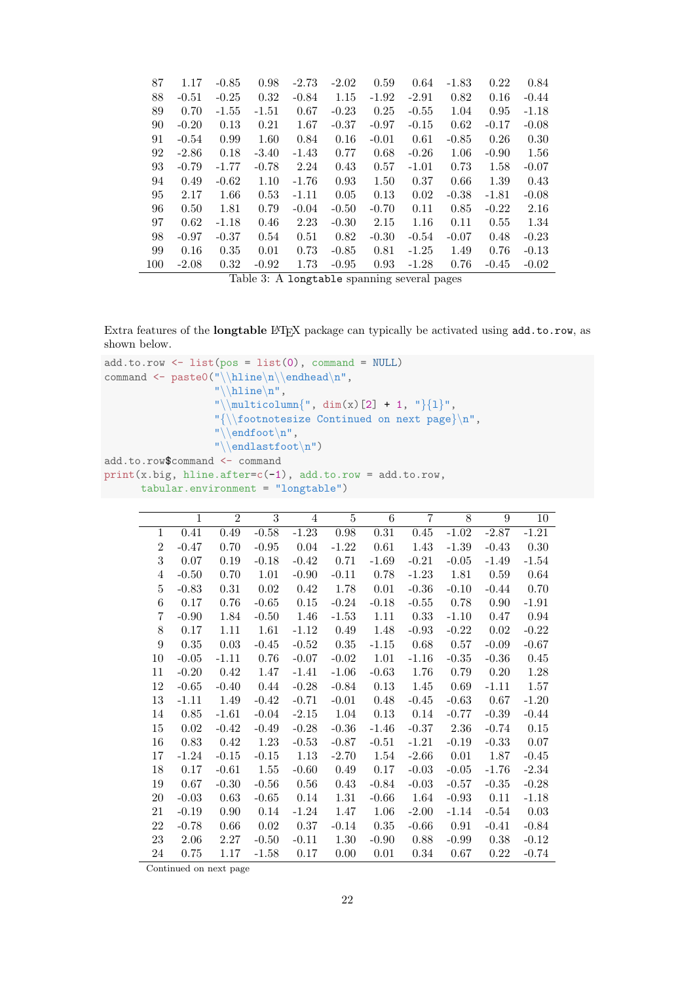| 87  | 1.17    | $-0.85$             | 0.98    | $-2.73$ | $-2.02$ | 0.59    | 0.64    | $-1.83$ | 0.22    | 0.84    |
|-----|---------|---------------------|---------|---------|---------|---------|---------|---------|---------|---------|
| 88  | $-0.51$ | $-0.25$             | 0.32    | $-0.84$ | 1.15    | $-1.92$ | $-2.91$ | 0.82    | 0.16    | $-0.44$ |
| 89  | 0.70    | $-1.55$             | $-1.51$ | 0.67    | $-0.23$ | 0.25    | $-0.55$ | 1.04    | 0.95    | $-1.18$ |
| 90  | $-0.20$ | 0.13                | 0.21    | 1.67    | $-0.37$ | $-0.97$ | $-0.15$ | 0.62    | $-0.17$ | $-0.08$ |
| 91  | $-0.54$ | 0.99                | 1.60    | 0.84    | 0.16    | $-0.01$ | 0.61    | $-0.85$ | 0.26    | 0.30    |
| 92  | $-2.86$ | 0.18                | $-3.40$ | $-1.43$ | 0.77    | 0.68    | $-0.26$ | 1.06    | $-0.90$ | 1.56    |
| 93  | $-0.79$ | $-1.77$             | $-0.78$ | 2.24    | 0.43    | 0.57    | $-1.01$ | 0.73    | 1.58    | $-0.07$ |
| 94  | 0.49    | $-0.62$             | 1.10    | $-1.76$ | 0.93    | 1.50    | 0.37    | 0.66    | 1.39    | 0.43    |
| 95  | 2.17    | 1.66                | 0.53    | $-1.11$ | 0.05    | 0.13    | 0.02    | $-0.38$ | $-1.81$ | $-0.08$ |
| 96  | 0.50    | 1.81                | 0.79    | $-0.04$ | $-0.50$ | $-0.70$ | 0.11    | 0.85    | $-0.22$ | 2.16    |
| 97  | 0.62    | $-1.18$             | 0.46    | 2.23    | $-0.30$ | 2.15    | 1.16    | 0.11    | 0.55    | 1.34    |
| 98  | $-0.97$ | $-0.37$             | 0.54    | 0.51    | 0.82    | $-0.30$ | $-0.54$ | $-0.07$ | 0.48    | $-0.23$ |
| 99  | 0.16    | 0.35                | 0.01    | 0.73    | $-0.85$ | 0.81    | $-1.25$ | 1.49    | 0.76    | $-0.13$ |
| 100 | $-2.08$ | 0.32                | $-0.92$ | 1.73    | $-0.95$ | 0.93    | $-1.28$ | 0.76    | $-0.45$ | $-0.02$ |
|     |         | <b><del>.</del></b> |         |         |         |         |         |         |         |         |

Table 3: A longtable spanning several pages

Extra features of the longtable LATEX package can typically be activated using add.to.row, as shown below.

```
add.to(row \leftarrow list(pos = list(0), command = NULL)command \leftarrow paste0("\\hline\n\\endhead\n",
                    "\backslashhline\backslashn",
                    "\|\text{multicolumn{"}{1}", \dim(x)[2] + 1, "\]{1}","{\\footnotesize Continued on next page}\n",
                    "\|\endfoot\|n\|,
                    "\\endlastfoot\n")
add.to.row$command <- command
print(x.big, hline.after=c(-1), add.to.row = add.to.row,
      tabular.environment = "longtable")
```

|                  | $\mathbf{1}$ | $\overline{2}$ | 3       | $\overline{4}$ | 5       | 6        | 7       | 8        | 9       | 10      |
|------------------|--------------|----------------|---------|----------------|---------|----------|---------|----------|---------|---------|
| 1                | 0.41         | 0.49           | $-0.58$ | $-1.23$        | 0.98    | 0.31     | 0.45    | $-1.02$  | $-2.87$ | $-1.21$ |
| $\overline{2}$   | $-0.47$      | 0.70           | $-0.95$ | 0.04           | $-1.22$ | 0.61     | 1.43    | $-1.39$  | $-0.43$ | 0.30    |
| 3                | 0.07         | 0.19           | $-0.18$ | $-0.42$        | 0.71    | $-1.69$  | $-0.21$ | $-0.05$  | $-1.49$ | $-1.54$ |
| 4                | $-0.50$      | 0.70           | 1.01    | $-0.90$        | $-0.11$ | 0.78     | $-1.23$ | 1.81     | 0.59    | 0.64    |
| $\overline{5}$   | $-0.83$      | 0.31           | 0.02    | 0.42           | 1.78    | 0.01     | $-0.36$ | $-0.10$  | $-0.44$ | 0.70    |
| 6                | 0.17         | 0.76           | $-0.65$ | 0.15           | $-0.24$ | $-0.18$  | $-0.55$ | 0.78     | 0.90    | $-1.91$ |
| 7                | $-0.90$      | 1.84           | $-0.50$ | 1.46           | $-1.53$ | 1.11     | 0.33    | $-1.10$  | 0.47    | 0.94    |
| 8                | 0.17         | 1.11           | 1.61    | $-1.12$        | 0.49    | 1.48     | $-0.93$ | $-0.22$  | 0.02    | $-0.22$ |
| $\boldsymbol{9}$ | 0.35         | $\,0.03\,$     | $-0.45$ | $-0.52$        | 0.35    | $-1.15$  | 0.68    | 0.57     | $-0.09$ | $-0.67$ |
| $10\,$           | $-0.05$      | $-1.11$        | 0.76    | $-0.07$        | $-0.02$ | 1.01     | $-1.16$ | $-0.35$  | $-0.36$ | 0.45    |
| 11               | $-0.20$      | 0.42           | 1.47    | $-1.41$        | $-1.06$ | $-0.63$  | 1.76    | 0.79     | 0.20    | 1.28    |
| 12               | $-0.65$      | $-0.40$        | 0.44    | $-0.28$        | $-0.84$ | $0.13\,$ | 1.45    | 0.69     | $-1.11$ | 1.57    |
| 13               | $-1.11$      | 1.49           | $-0.42$ | $-0.71$        | $-0.01$ | 0.48     | $-0.45$ | $-0.63$  | 0.67    | $-1.20$ |
| 14               | $0.85\,$     | $-1.61$        | $-0.04$ | $-2.15$        | 1.04    | 0.13     | 0.14    | $-0.77$  | $-0.39$ | $-0.44$ |
| 15               | 0.02         | $-0.42$        | $-0.49$ | $-0.28$        | $-0.36$ | $-1.46$  | $-0.37$ | 2.36     | $-0.74$ | 0.15    |
| 16               | 0.83         | 0.42           | 1.23    | $-0.53$        | $-0.87$ | $-0.51$  | $-1.21$ | $-0.19$  | $-0.33$ | 0.07    |
| 17               | $-1.24$      | $-0.15$        | $-0.15$ | 1.13           | $-2.70$ | 1.54     | $-2.66$ | $0.01\,$ | 1.87    | $-0.45$ |
| 18               | 0.17         | $-0.61$        | 1.55    | $-0.60$        | 0.49    | 0.17     | $-0.03$ | $-0.05$  | $-1.76$ | $-2.34$ |
| 19               | 0.67         | $-0.30$        | $-0.56$ | 0.56           | 0.43    | $-0.84$  | $-0.03$ | $-0.57$  | $-0.35$ | $-0.28$ |
| 20               | $-0.03$      | 0.63           | $-0.65$ | 0.14           | 1.31    | $-0.66$  | 1.64    | $-0.93$  | 0.11    | $-1.18$ |
| 21               | $-0.19$      | 0.90           | 0.14    | $-1.24$        | 1.47    | 1.06     | $-2.00$ | $-1.14$  | $-0.54$ | 0.03    |
| 22               | $-0.78$      | 0.66           | 0.02    | 0.37           | $-0.14$ | $0.35\,$ | $-0.66$ | 0.91     | $-0.41$ | $-0.84$ |
| 23               | 2.06         | 2.27           | $-0.50$ | $-0.11$        | 1.30    | $-0.90$  | 0.88    | $-0.99$  | 0.38    | $-0.12$ |
| 24               | 0.75         | 1.17           | $-1.58$ | 0.17           | 0.00    | 0.01     | 0.34    | 0.67     | 0.22    | $-0.74$ |

Continued on next page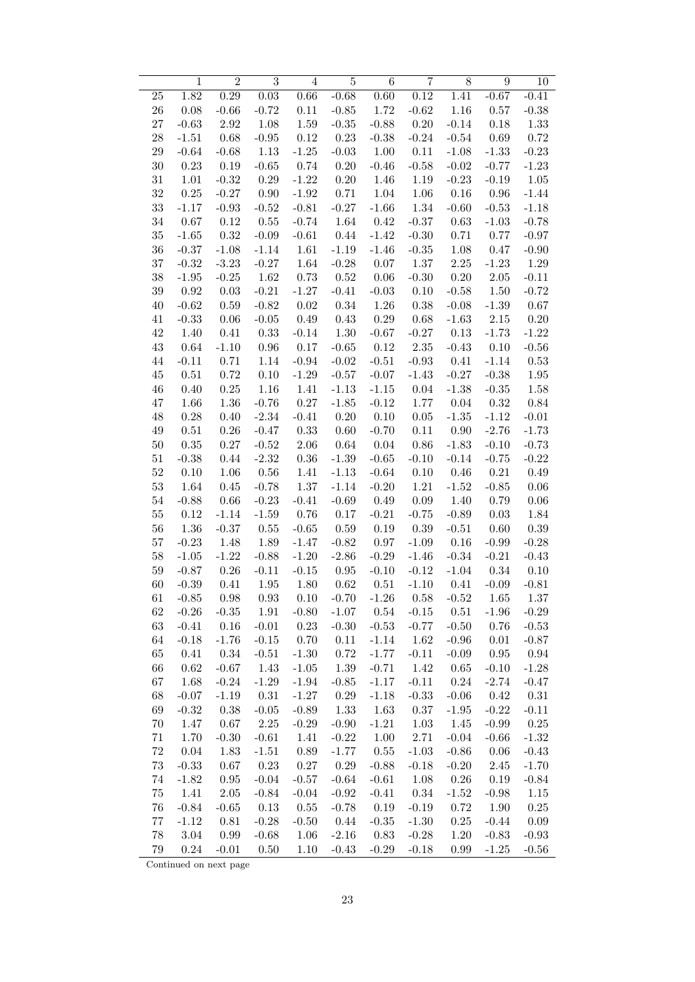|        | $\mathbf 1$ | $\overline{2}$ | $\overline{3}$ | $\overline{4}$ | $\bf 5$  | $\,6$             | $\overline{7}$ | $8\,$    | 9        | 10       |
|--------|-------------|----------------|----------------|----------------|----------|-------------------|----------------|----------|----------|----------|
| 25     | 1.82        | 0.29           | 0.03           | 0.66           | $-0.68$  | $\overline{0.60}$ | 0.12           | 1.41     | $-0.67$  | $-0.41$  |
| 26     | 0.08        | $-0.66$        | $-0.72$        | 0.11           | $-0.85$  | 1.72              | $-0.62$        | 1.16     | 0.57     | $-0.38$  |
| 27     | $-0.63$     | 2.92           | 1.08           | 1.59           | $-0.35$  | $-0.88$           | 0.20           | $-0.14$  | 0.18     | 1.33     |
| $28\,$ | $-1.51$     | 0.68           | $-0.95$        | $0.12\,$       | 0.23     | $-0.38$           | $-0.24$        | $-0.54$  | 0.69     | 0.72     |
| $29\,$ | $-0.64$     | $-0.68$        | 1.13           | $-1.25$        | $-0.03$  | 1.00              | 0.11           | $-1.08$  | $-1.33$  | $-0.23$  |
| $30\,$ | 0.23        | 0.19           | $-0.65$        | 0.74           | 0.20     | $-0.46$           | $-0.58$        | $-0.02$  | $-0.77$  | $-1.23$  |
| $31\,$ | 1.01        | $-0.32$        | $0.29\,$       | $-1.22$        | 0.20     | 1.46              | 1.19           | $-0.23$  | $-0.19$  | $1.05\,$ |
| $32\,$ | 0.25        | $-0.27$        | $0.90\,$       | $-1.92$        | 0.71     | 1.04              | 1.06           | 0.16     | 0.96     | $-1.44$  |
| $33\,$ | $-1.17$     | $-0.93$        | $-0.52$        | $-0.81$        | $-0.27$  | $-1.66$           | $1.34\,$       | $-0.60$  | $-0.53$  | $-1.18$  |
| $34\,$ | 0.67        | 0.12           | $0.55\,$       | $-0.74$        | 1.64     | 0.42              | $-0.37$        | 0.63     | $-1.03$  | $-0.78$  |
| $35\,$ | $-1.65$     | 0.32           | $-0.09$        | $-0.61$        | 0.44     | $-1.42$           | $-0.30$        | 0.71     | 0.77     | $-0.97$  |
| 36     | $-0.37$     | $-1.08$        | $-1.14$        | 1.61           | $-1.19$  | $-1.46$           | $-0.35$        | 1.08     | 0.47     | $-0.90$  |
| $37\,$ | $-0.32$     | $-3.23$        | $-0.27$        | 1.64           | $-0.28$  | 0.07              | 1.37           | $2.25\,$ | $-1.23$  | 1.29     |
| $38\,$ | $-1.95$     | $-0.25$        | 1.62           | 0.73           | 0.52     | 0.06              | $-0.30$        | 0.20     | $2.05\,$ | $-0.11$  |
| $39\,$ | 0.92        | $0.03\,$       | $-0.21$        | $-1.27$        | $-0.41$  | $-0.03$           | $0.10\,$       | $-0.58$  | 1.50     | $-0.72$  |
| 40     | $-0.62$     | $0.59\,$       | $-0.82$        | $0.02\,$       | 0.34     | 1.26              | $0.38\,$       | $-0.08$  | $-1.39$  | 0.67     |
| 41     | $-0.33$     | $0.06\,$       | $-0.05$        | 0.49           | 0.43     | $0.29\,$          | 0.68           | $-1.63$  | $2.15\,$ | 0.20     |
| 42     | 1.40        | 0.41           | 0.33           | $-0.14$        | 1.30     | $-0.67$           | $-0.27$        | 0.13     | $-1.73$  | $-1.22$  |
| $43\,$ | 0.64        | $-1.10$        | $0.96\,$       | 0.17           | $-0.65$  | 0.12              | 2.35           | $-0.43$  | 0.10     | $-0.56$  |
| 44     | $-0.11$     | 0.71           | 1.14           | $-0.94$        | $-0.02$  | $-0.51$           | $-0.93$        | 0.41     | $-1.14$  | 0.53     |
| $45\,$ | $0.51\,$    | $0.72\,$       | $0.10\,$       | $-1.29$        | $-0.57$  | $-0.07$           | $-1.43$        | $-0.27$  | $-0.38$  | 1.95     |
| 46     | 0.40        | $0.25\,$       | 1.16           | 1.41           | $-1.13$  | $-1.15$           | $0.04\,$       | $-1.38$  | $-0.35$  | 1.58     |
| 47     | 1.66        | 1.36           | $-0.76$        | $0.27\,$       | $-1.85$  | $-0.12$           | 1.77           | 0.04     | 0.32     | 0.84     |
| 48     | 0.28        | $0.40\,$       | $-2.34$        | $-0.41$        | $0.20\,$ | 0.10              | 0.05           | $-1.35$  | $-1.12$  | $-0.01$  |
| 49     | $0.51\,$    | $0.26\,$       | $-0.47$        | 0.33           | 0.60     | $-0.70$           | $0.11\,$       | 0.90     | $-2.76$  | $-1.73$  |
| $50\,$ | 0.35        | $0.27\,$       | $-0.52$        | $2.06\,$       | 0.64     | 0.04              | $0.86\,$       | $-1.83$  | $-0.10$  | $-0.73$  |
| 51     | $-0.38$     | 0.44           | $-2.32$        | $0.36\,$       | $-1.39$  | $-0.65$           | $-0.10$        | $-0.14$  | $-0.75$  | $-0.22$  |
| $52\,$ | 0.10        | 1.06           | 0.56           | 1.41           | $-1.13$  | $-0.64$           | 0.10           | 0.46     | 0.21     | 0.49     |
| $53\,$ | 1.64        | $0.45\,$       | $-0.78$        | 1.37           | $-1.14$  | $-0.20$           | $1.21\,$       | $-1.52$  | $-0.85$  | 0.06     |
| 54     | $-0.88$     | $0.66\,$       | $-0.23$        | $-0.41$        | $-0.69$  | 0.49              | $0.09\,$       | 1.40     | 0.79     | 0.06     |
| 55     | 0.12        | $-1.14$        | $-1.59$        | 0.76           | 0.17     | $-0.21$           | $-0.75$        | $-0.89$  | 0.03     | 1.84     |
| 56     | 1.36        | $-0.37$        | $0.55\,$       | $-0.65$        | 0.59     | 0.19              | 0.39           | $-0.51$  | 0.60     | 0.39     |
| $57\,$ | $-0.23$     | 1.48           | 1.89           | $-1.47$        | $-0.82$  | 0.97              | $-1.09$        | 0.16     | $-0.99$  | $-0.28$  |
| $58\,$ | $-1.05$     | $-1.22$        | $-0.88$        | $-1.20$        | $-2.86$  | $-0.29$           | $-1.46$        | $-0.34$  | $-0.21$  | $-0.43$  |
| $59\,$ | $-0.87$     | $0.26\,$       | $-0.11$        | $-0.15$        | $0.95\,$ | $-0.10$           | $-0.12$        | $-1.04$  | 0.34     | 0.10     |
| 60     | $-0.39$     | 0.41           | 1.95           | 1.80           | 0.62     | 0.51              | $-1.10$        | 0.41     | $-0.09$  | $-0.81$  |
| 61     | $-0.85$     | 0.98           | $\rm 0.93$     | $0.10\,$       | $-0.70$  | $-1.26$           | 0.58           | $-0.52$  | 1.65     | 1.37     |
| 62     | $-0.26$     | $-0.35$        | $1.91\,$       | $-0.80$        | $-1.07$  | 0.54              | $-0.15$        | 0.51     | $-1.96$  | $-0.29$  |
| $63\,$ | $-0.41$     | 0.16           | $-0.01$        | 0.23           | $-0.30$  | $-0.53$           | $-0.77$        | $-0.50$  | 0.76     | $-0.53$  |
| 64     | $-0.18$     | $-1.76$        | $-0.15$        | 0.70           | 0.11     | $-1.14$           | 1.62           | $-0.96$  | 0.01     | $-0.87$  |
| 65     | 0.41        | 0.34           | $-0.51$        | $-1.30$        | 0.72     | $-1.77$           | $-0.11$        | $-0.09$  | $0.95\,$ | 0.94     |
| 66     | 0.62        | $-0.67$        | 1.43           | $-1.05$        | 1.39     | $-0.71$           | 1.42           | 0.65     | $-0.10$  | $-1.28$  |
| 67     | 1.68        | $-0.24$        | $-1.29$        | $-1.94$        | $-0.85$  | $-1.17$           | $-0.11$        | 0.24     | $-2.74$  | $-0.47$  |
| 68     | $-0.07$     | $-1.19$        | $0.31\,$       | $-1.27$        | 0.29     | $-1.18$           | $-0.33$        | $-0.06$  | 0.42     | 0.31     |
| 69     | $-0.32$     | 0.38           | $-0.05$        | $-0.89$        | 1.33     | 1.63              | $0.37\,$       | $-1.95$  | $-0.22$  | $-0.11$  |
| 70     | 1.47        | $0.67\,$       | $2.25\,$       | $-0.29$        | $-0.90$  | $-1.21$           | 1.03           | 1.45     | $-0.99$  | 0.25     |
| 71     | 1.70        | $-0.30$        | $-0.61$        | 1.41           | $-0.22$  | 1.00              | 2.71           | $-0.04$  | $-0.66$  | $-1.32$  |
| 72     | $0.04\,$    | 1.83           | $-1.51$        | 0.89           | $-1.77$  | 0.55              | $-1.03$        | $-0.86$  | 0.06     | $-0.43$  |
| 73     | $-0.33$     | 0.67           | 0.23           | 0.27           | 0.29     | $-0.88$           | $-0.18$        | $-0.20$  | 2.45     | $-1.70$  |
| 74     | $-1.82$     | $0.95\,$       | $-0.04$        | $-0.57$        | $-0.64$  | $-0.61$           | 1.08           | 0.26     | 0.19     | $-0.84$  |
| 75     | 1.41        | $2.05\,$       | $-0.84$        | $-0.04$        | $-0.92$  | $-0.41$           | 0.34           | $-1.52$  | $-0.98$  | 1.15     |
| 76     | $-0.84$     | $-0.65$        | 0.13           | 0.55           | $-0.78$  | 0.19              | $-0.19$        | 0.72     | 1.90     | 0.25     |
| 77     | $-1.12$     | $0.81\,$       | $-0.28$        | $-0.50$        | 0.44     | $\text{-}0.35$    | $-1.30$        | 0.25     | $-0.44$  | $0.09\,$ |
| 78     | $3.04\,$    | 0.99           | $-0.68$        | 1.06           | $-2.16$  | 0.83              | $-0.28$        | 1.20     | $-0.83$  | $-0.93$  |
| 79     | $0.24\,$    | $-0.01$        | 0.50           | 1.10           | $-0.43$  | $-0.29$           | $-0.18$        | 0.99     | $-1.25$  | $-0.56$  |

Continued on next page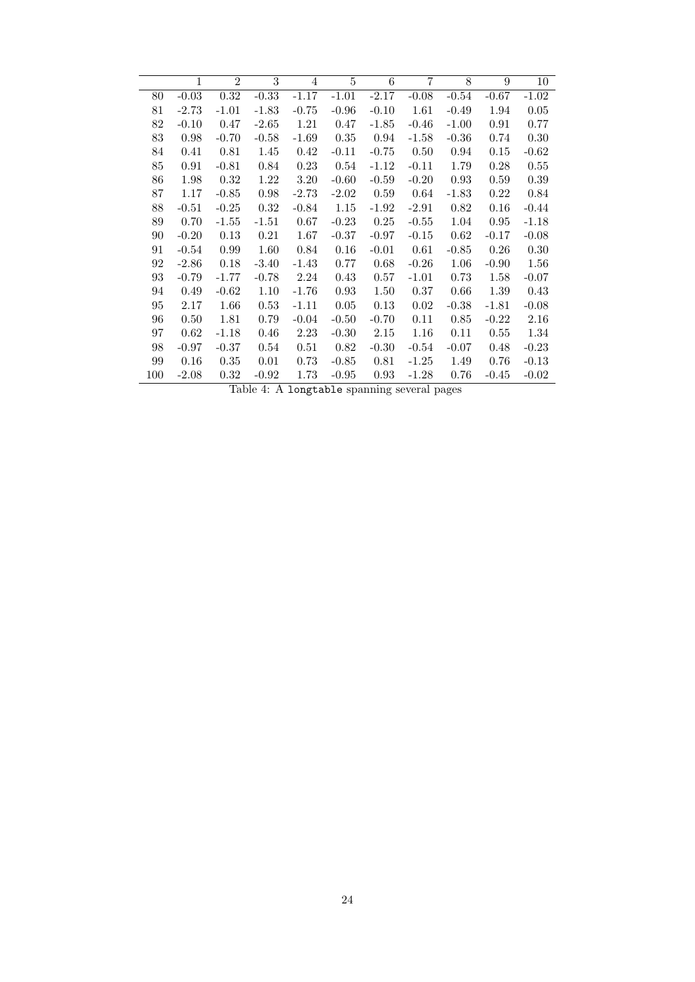|     | $\mathbf{1}$ | $\overline{2}$ | 3       | $\overline{4}$ | 5       | 6       | 7        | 8       | 9       | $10\,$  |
|-----|--------------|----------------|---------|----------------|---------|---------|----------|---------|---------|---------|
| 80  | $-0.03$      | 0.32           | $-0.33$ | $-1.17$        | $-1.01$ | $-2.17$ | $-0.08$  | $-0.54$ | $-0.67$ | $-1.02$ |
| 81  | $-2.73$      | $-1.01$        | $-1.83$ | $-0.75$        | $-0.96$ | $-0.10$ | 1.61     | $-0.49$ | 1.94    | 0.05    |
| 82  | $-0.10$      | 0.47           | $-2.65$ | 1.21           | 0.47    | $-1.85$ | $-0.46$  | $-1.00$ | 0.91    | 0.77    |
| 83  | 0.98         | $-0.70$        | $-0.58$ | $-1.69$        | 0.35    | 0.94    | $-1.58$  | $-0.36$ | 0.74    | 0.30    |
| 84  | 0.41         | 0.81           | 1.45    | 0.42           | $-0.11$ | $-0.75$ | 0.50     | 0.94    | 0.15    | $-0.62$ |
| 85  | 0.91         | $-0.81$        | 0.84    | 0.23           | 0.54    | $-1.12$ | $-0.11$  | 1.79    | 0.28    | 0.55    |
| 86  | 1.98         | 0.32           | 1.22    | 3.20           | $-0.60$ | $-0.59$ | $-0.20$  | 0.93    | 0.59    | 0.39    |
| 87  | 1.17         | $-0.85$        | 0.98    | $-2.73$        | $-2.02$ | 0.59    | 0.64     | $-1.83$ | 0.22    | 0.84    |
| 88  | $-0.51$      | $-0.25$        | 0.32    | $-0.84$        | 1.15    | $-1.92$ | $-2.91$  | 0.82    | 0.16    | $-0.44$ |
| 89  | 0.70         | $-1.55$        | $-1.51$ | 0.67           | $-0.23$ | 0.25    | $-0.55$  | 1.04    | 0.95    | $-1.18$ |
| 90  | $-0.20$      | 0.13           | 0.21    | 1.67           | $-0.37$ | $-0.97$ | $-0.15$  | 0.62    | $-0.17$ | $-0.08$ |
| 91  | $-0.54$      | 0.99           | 1.60    | 0.84           | 0.16    | $-0.01$ | $0.61\,$ | $-0.85$ | 0.26    | 0.30    |
| 92  | $-2.86$      | 0.18           | $-3.40$ | $-1.43$        | 0.77    | 0.68    | $-0.26$  | 1.06    | $-0.90$ | 1.56    |
| 93  | $-0.79$      | $-1.77$        | $-0.78$ | 2.24           | 0.43    | 0.57    | $-1.01$  | 0.73    | 1.58    | $-0.07$ |
| 94  | 0.49         | $-0.62$        | 1.10    | $-1.76$        | 0.93    | 1.50    | 0.37     | 0.66    | 1.39    | 0.43    |
| 95  | 2.17         | 1.66           | 0.53    | $-1.11$        | 0.05    | 0.13    | 0.02     | $-0.38$ | $-1.81$ | $-0.08$ |
| 96  | 0.50         | 1.81           | 0.79    | $-0.04$        | $-0.50$ | $-0.70$ | 0.11     | 0.85    | $-0.22$ | 2.16    |
| 97  | 0.62         | $-1.18$        | 0.46    | 2.23           | $-0.30$ | 2.15    | 1.16     | 0.11    | 0.55    | 1.34    |
| 98  | $-0.97$      | $-0.37$        | 0.54    | 0.51           | 0.82    | $-0.30$ | $-0.54$  | $-0.07$ | 0.48    | $-0.23$ |
| 99  | 0.16         | 0.35           | 0.01    | 0.73           | $-0.85$ | 0.81    | $-1.25$  | 1.49    | 0.76    | $-0.13$ |
| 100 | $-2.08$      | 0.32           | $-0.92$ | 1.73           | $-0.95$ | 0.93    | $-1.28$  | 0.76    | $-0.45$ | $-0.02$ |

Table 4: A longtable spanning several pages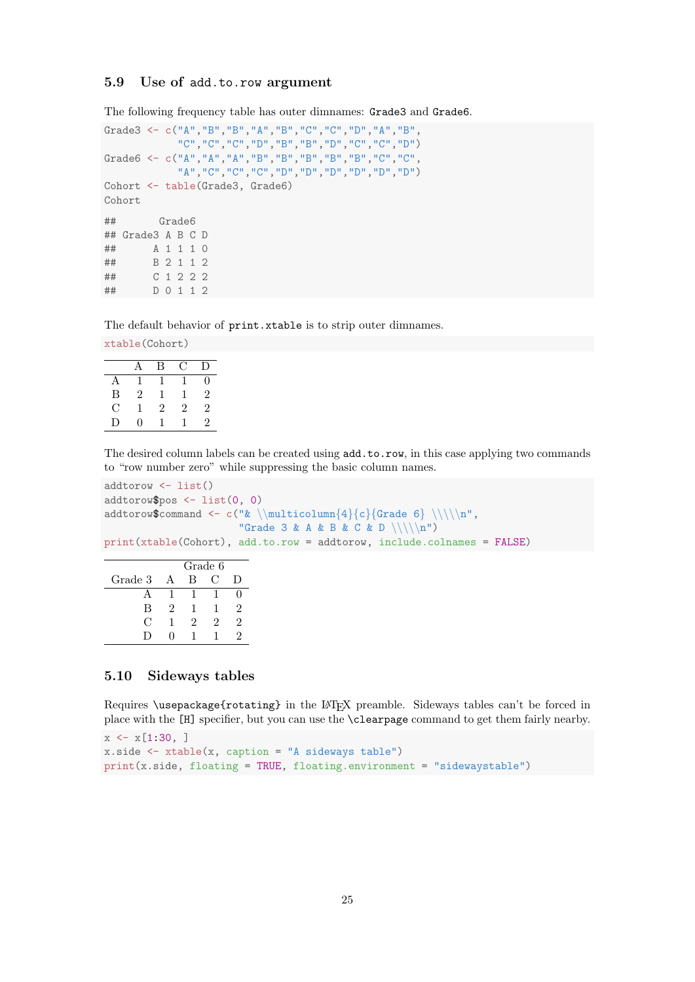#### <span id="page-24-0"></span>5.9 Use of add.to.row argument

The following frequency table has outer dimnames: Grade3 and Grade6.

```
Grade3 <- c("A","B","B","A","B","C","C","D","A","B",
           "C","C","C","D","B","B","D","C","C","D")
Grade6 <- c("A","A","A","B","B","B","B","B","C","C",
           "A","C","C","C","D","D","D","D","D","D")
Cohort <- table(Grade3, Grade6)
Cohort
## Grade6
## Grade3 A B C D
## A 1 1 1 0
## B 2 1 1 2
## C 1 2 2 2
## D 0 1 1 2
```
The default behavior of print.xtable is to strip outer dimnames.

xtable(Cohort)

|   |                   | В | ⊖ | $\mathsf{D}$ |
|---|-------------------|---|---|--------------|
| Α |                   |   |   | 0            |
| B | 2                 | ı | ı | 2            |
| С |                   | 2 | 2 | 2            |
| D | $\mathbf{\Omega}$ |   |   | 2            |

The desired column labels can be created using add.to.row, in this case applying two commands to "row number zero" while suppressing the basic column names.

```
addtorow <- list()
addtorow$pos <- list(0, 0)
addtorow$command <- c("& \\multicolumn{4}{c}{Grade 6} \\\\\n",
                         "Grade 3 & A & B & C & D \langle \langle \cdot \rangle (n")
print(xtable(Cohort), add.to.row = addtorow, include.colnames = FALSE)
```

|         |   |   | Grade 6 |    |
|---------|---|---|---------|----|
| Grade 3 |   | в | 0       | I) |
|         |   |   |         |    |
| В       | 2 |   |         |    |
| €       |   | 2 | '2      | '2 |
|         |   |   |         |    |

#### <span id="page-24-1"></span>5.10 Sideways tables

Requires \usepackage{rotating} in the LATEX preamble. Sideways tables can't be forced in place with the [H] specifier, but you can use the \clearpage command to get them fairly nearby.

```
x \leftarrow x[1:30, ]x.size \leftarrow xtable(x, caption = "A sideways table")print(x.side, floating = TRUE, floating.environment = "sidewaystable")
```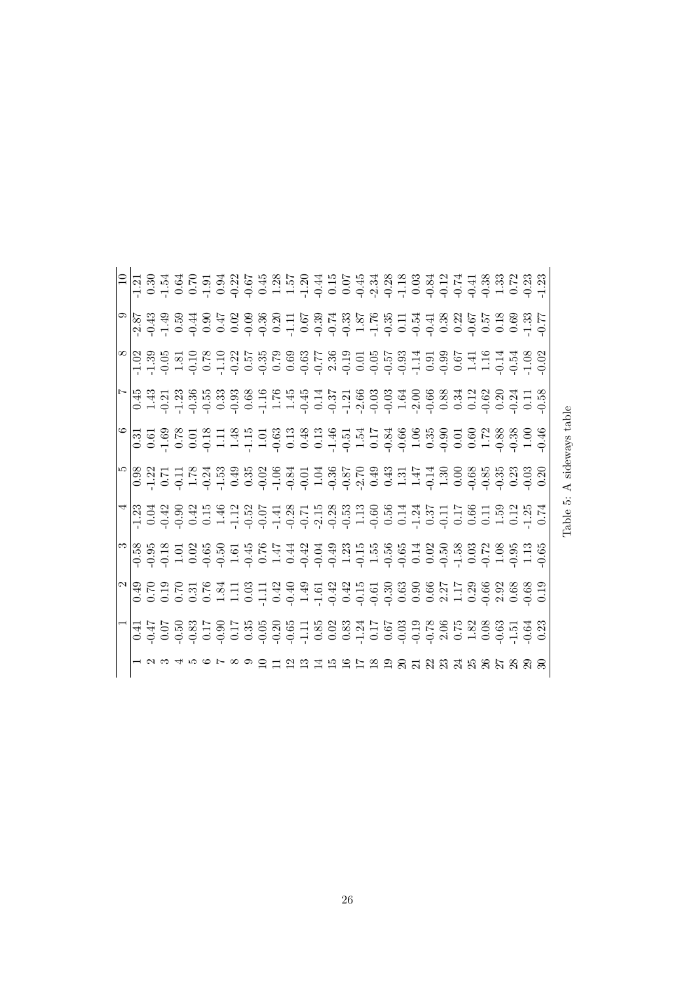|                                    |                                                              |  |  |  |                                                                         | ヿヿ゙<br>ヿヿ゙゠ヹヹヱ゠ヺ゙ゔゖヸ゚ゕ゙ゖヿヸゖヷヸヸ゚ゕ゚ヸ゚ヹヹヸゕ゚ゕゖゖ<br>ヿヿ゙゠゠゙ゖ゠゠゠゠゠゠゠゠゠゠゠゠゠゠゠゠゠゠゠゠゠゠゠゠゠ |
|------------------------------------|--------------------------------------------------------------|--|--|--|-------------------------------------------------------------------------|---------------------------------------------------------------------------------|
|                                    |                                                              |  |  |  |                                                                         |                                                                                 |
|                                    |                                                              |  |  |  |                                                                         |                                                                                 |
|                                    |                                                              |  |  |  |                                                                         |                                                                                 |
|                                    |                                                              |  |  |  |                                                                         |                                                                                 |
|                                    |                                                              |  |  |  |                                                                         |                                                                                 |
|                                    |                                                              |  |  |  |                                                                         |                                                                                 |
|                                    |                                                              |  |  |  |                                                                         |                                                                                 |
|                                    |                                                              |  |  |  |                                                                         |                                                                                 |
|                                    |                                                              |  |  |  |                                                                         |                                                                                 |
|                                    |                                                              |  |  |  |                                                                         |                                                                                 |
|                                    |                                                              |  |  |  |                                                                         |                                                                                 |
| 了《9 的比较级其特的订论的幻红发致红发幻幻幻幻幻幻幻幻幻幻幻幻幻的 | ロキロの影けのけますのあけあののはせいのけをあためのおちは<br> つうつうつうつうつう!つつり!つつつつつ。つ!つう! |  |  |  | マルトリークのようのようかんしょうかんかんかんかんかん いいだい (xid) とうしん しんしん しんしんしん しんしんしん しんしゅうしょう |                                                                                 |
|                                    |                                                              |  |  |  |                                                                         |                                                                                 |
|                                    |                                                              |  |  |  |                                                                         |                                                                                 |
|                                    |                                                              |  |  |  |                                                                         |                                                                                 |
|                                    |                                                              |  |  |  |                                                                         |                                                                                 |
|                                    |                                                              |  |  |  |                                                                         |                                                                                 |
|                                    |                                                              |  |  |  |                                                                         |                                                                                 |
|                                    |                                                              |  |  |  |                                                                         |                                                                                 |
|                                    |                                                              |  |  |  |                                                                         |                                                                                 |
|                                    |                                                              |  |  |  |                                                                         |                                                                                 |
|                                    |                                                              |  |  |  |                                                                         |                                                                                 |
|                                    |                                                              |  |  |  |                                                                         |                                                                                 |
|                                    |                                                              |  |  |  |                                                                         |                                                                                 |
|                                    |                                                              |  |  |  |                                                                         |                                                                                 |
|                                    |                                                              |  |  |  |                                                                         |                                                                                 |
|                                    |                                                              |  |  |  |                                                                         |                                                                                 |
|                                    |                                                              |  |  |  |                                                                         |                                                                                 |
|                                    |                                                              |  |  |  |                                                                         |                                                                                 |
|                                    |                                                              |  |  |  |                                                                         |                                                                                 |
|                                    |                                                              |  |  |  |                                                                         |                                                                                 |

Table 5: A sideways table Table 5: A sideways table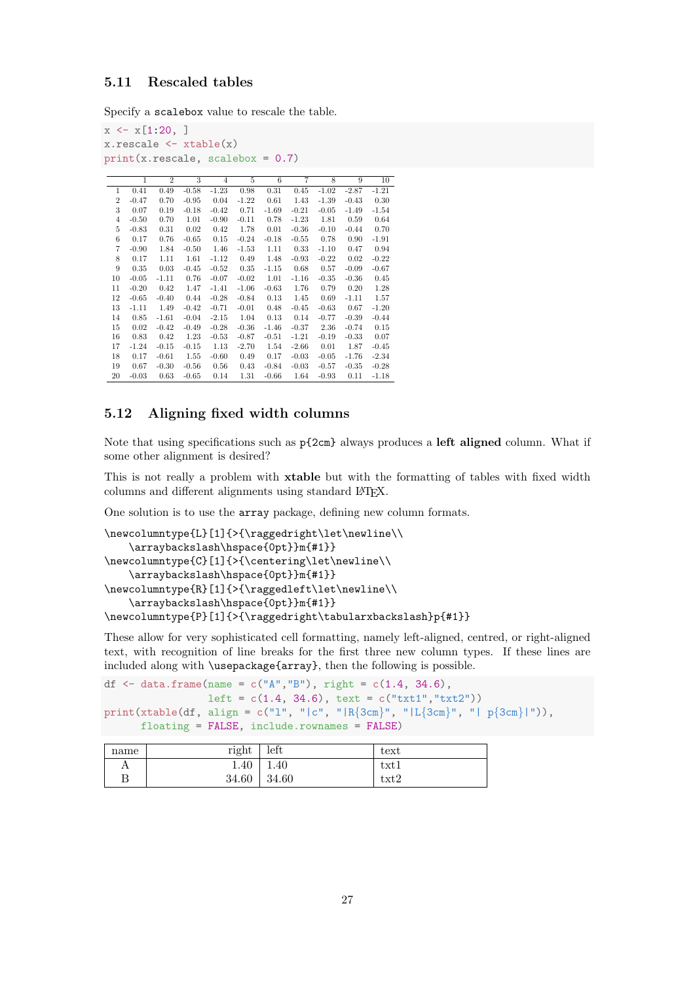#### <span id="page-26-0"></span>5.11 Rescaled tables

Specify a scalebox value to rescale the table.

```
x \leftarrow x[1:20, ]x.rescale <- xtable(x)
print(x.rescale, scalebox = 0.7)
```

|                | $\mathbf{1}$ | $\overline{2}$ | 3       | $\overline{4}$ | 5       | 6       | 7       | 8       | 9       | 10      |
|----------------|--------------|----------------|---------|----------------|---------|---------|---------|---------|---------|---------|
| 1              | 0.41         | 0.49           | $-0.58$ | $-1.23$        | 0.98    | 0.31    | 0.45    | $-1.02$ | $-2.87$ | $-1.21$ |
| $\overline{2}$ | $-0.47$      | 0.70           | $-0.95$ | 0.04           | $-1.22$ | 0.61    | 1.43    | $-1.39$ | $-0.43$ | 0.30    |
| 3              | 0.07         | 0.19           | $-0.18$ | $-0.42$        | 0.71    | $-1.69$ | $-0.21$ | $-0.05$ | $-1.49$ | $-1.54$ |
| $\overline{4}$ | $-0.50$      | 0.70           | 1.01    | $-0.90$        | $-0.11$ | 0.78    | $-1.23$ | 1.81    | 0.59    | 0.64    |
| 5              | $-0.83$      | 0.31           | 0.02    | 0.42           | 1.78    | 0.01    | $-0.36$ | $-0.10$ | $-0.44$ | 0.70    |
| 6              | 0.17         | 0.76           | $-0.65$ | 0.15           | $-0.24$ | $-0.18$ | $-0.55$ | 0.78    | 0.90    | $-1.91$ |
| 7              | $-0.90$      | 1.84           | $-0.50$ | 1.46           | $-1.53$ | 1.11    | 0.33    | $-1.10$ | 0.47    | 0.94    |
| 8              | 0.17         | 1.11           | 1.61    | $-1.12$        | 0.49    | 1.48    | $-0.93$ | $-0.22$ | 0.02    | $-0.22$ |
| 9              | 0.35         | 0.03           | $-0.45$ | $-0.52$        | 0.35    | $-1.15$ | 0.68    | 0.57    | $-0.09$ | $-0.67$ |
| 10             | $-0.05$      | $-1.11$        | 0.76    | $-0.07$        | $-0.02$ | 1.01    | $-1.16$ | $-0.35$ | $-0.36$ | 0.45    |
| 11             | $-0.20$      | 0.42           | 1.47    | $-1.41$        | $-1.06$ | $-0.63$ | 1.76    | 0.79    | 0.20    | 1.28    |
| 12             | $-0.65$      | $-0.40$        | 0.44    | $-0.28$        | $-0.84$ | 0.13    | 1.45    | 0.69    | $-1.11$ | 1.57    |
| 13             | $-1.11$      | 1.49           | $-0.42$ | $-0.71$        | $-0.01$ | 0.48    | $-0.45$ | $-0.63$ | 0.67    | $-1.20$ |
| 14             | 0.85         | $-1.61$        | $-0.04$ | $-2.15$        | 1.04    | 0.13    | 0.14    | $-0.77$ | $-0.39$ | $-0.44$ |
| 15             | 0.02         | $-0.42$        | $-0.49$ | $-0.28$        | $-0.36$ | $-1.46$ | $-0.37$ | 2.36    | $-0.74$ | 0.15    |
| 16             | 0.83         | 0.42           | 1.23    | $-0.53$        | $-0.87$ | $-0.51$ | $-1.21$ | $-0.19$ | $-0.33$ | 0.07    |
| 17             | $-1.24$      | $-0.15$        | $-0.15$ | 1.13           | $-2.70$ | 1.54    | $-2.66$ | 0.01    | 1.87    | $-0.45$ |
| 18             | 0.17         | $-0.61$        | 1.55    | $-0.60$        | 0.49    | 0.17    | $-0.03$ | $-0.05$ | $-1.76$ | $-2.34$ |
| 19             | 0.67         | $-0.30$        | $-0.56$ | 0.56           | 0.43    | $-0.84$ | $-0.03$ | $-0.57$ | $-0.35$ | $-0.28$ |
| 20             | $-0.03$      | 0.63           | $-0.65$ | 0.14           | 1.31    | $-0.66$ | 1.64    | $-0.93$ | 0.11    | $-1.18$ |

#### <span id="page-26-1"></span>5.12 Aligning fixed width columns

Note that using specifications such as  $p{2cm}$  always produces a left aligned column. What if some other alignment is desired?

This is not really a problem with xtable but with the formatting of tables with fixed width columns and different alignments using standard LAT<sub>E</sub>X.

One solution is to use the array package, defining new column formats.

```
\newcolumntype{L}[1]{>{\raggedright\let\newline\\
   \arraybackslash\hspace{0pt}}m{#1}}
\newcolumntype{C}[1]{>{\centering\let\newline\\
   \arraybackslash\hspace{0pt}}m{#1}}
\newcolumntype{R}[1]{>{\raggedleft\let\newline\\
   \arraybackslash\hspace{0pt}}m{#1}}
\newcolumntype{P}[1]{>{\raggedright\tabularxbackslash}p{#1}}
```
These allow for very sophisticated cell formatting, namely left-aligned, centred, or right-aligned text, with recognition of line breaks for the first three new column types. If these lines are included along with \usepackage{array}, then the following is possible.

```
df \leq data.frame(name = c("A","B"), right = c(1.4, 34.6),
                 left = c(1.4, 34.6), \text{text} = c("txt1", "txt2"))print(xtable(df, align = c("l", "|c", "|R{3cm}", "|L{3cm}", "| p{3cm}|")),
     floating = FALSE, include.rownames = FALSE)
```

| name | right | left  | text |
|------|-------|-------|------|
| А    | 1.40  | 1.40  | txt1 |
| Β    | 34.60 | 34.60 | txt2 |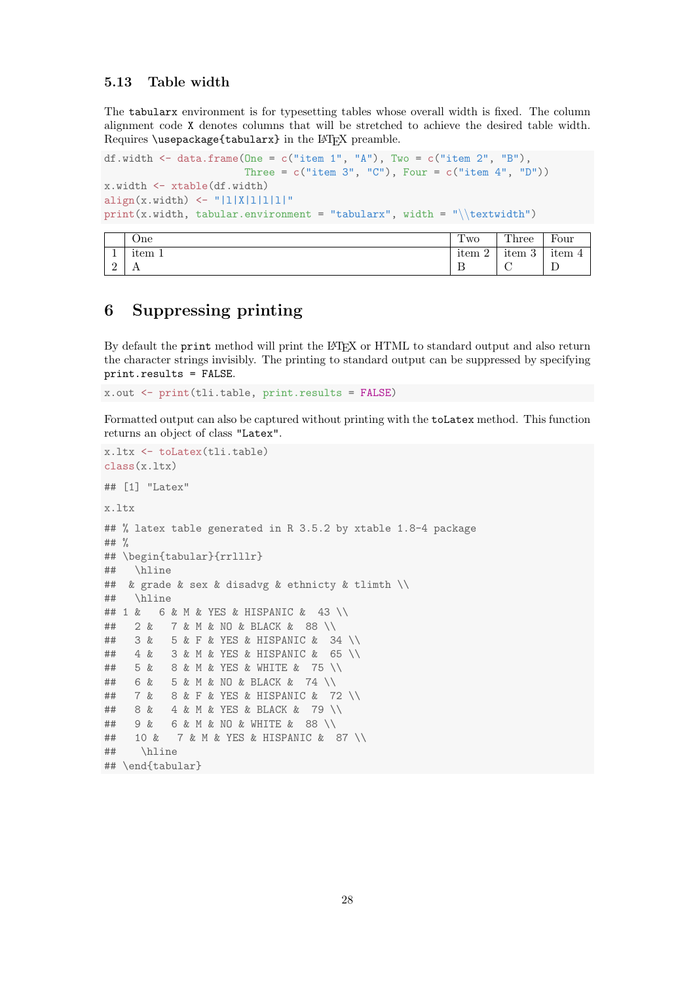#### <span id="page-27-0"></span>5.13 Table width

The tabularx environment is for typesetting tables whose overall width is fixed. The column alignment code X denotes columns that will be stretched to achieve the desired table width. Requires \usepackage{tabularx} in the L<sup>AT</sup>EX preamble.

```
df.width \leq data.frame(One = c("item 1", "A"), Two = c("item 2", "B"),
                       Three = c("item 3", "C"), Four = c("item 4", "D"))
x.width <- xtable(df.width)
align(x.width) <- "|1|X|1|1|1|"
print(x.width, tabular.environment = "tabularx", width = "\\textwidth")
```

|   | .)ne           | Two                   | Three                             | Four                |
|---|----------------|-----------------------|-----------------------------------|---------------------|
|   | item 1         | $\Omega$<br>item<br>∸ | $\Omega$<br>$\bullet$ .<br>item 3 | $\bullet$<br>item 4 |
| ∸ | $\overline{1}$ | ௪                     | ∼<br>◡                            | ≖                   |

### <span id="page-27-1"></span>6 Suppressing printing

By default the print method will print the L<sup>AT</sup>EX or HTML to standard output and also return the character strings invisibly. The printing to standard output can be suppressed by specifying print.results = FALSE.

x.out <- print(tli.table, print.results = FALSE)

Formatted output can also be captured without printing with the toLatex method. This function returns an object of class "Latex".

```
x.ltx <- toLatex(tli.table)
class(x.ltx)
## [1] "Latex"
x.ltx
## % latex table generated in R 3.5.2 by xtable 1.8-4 package
## %
## \begin{tabular}{rrlllr}
## \hline
## & grade & sex & disadvg & ethnicty & tlimth \\
## \hline
## 1 & 6 & M & YES & HISPANIC & 43 \\
## 2 & 7 & M & NO & BLACK & 88 \\
## 3 & 5 & F & YES & HISPANIC & 34 \\
## 4 & 3 & M & YES & HISPANIC & 65 \\
## 5 & 8 & M & YES & WHITE & 75 \\
## 6 & 5 & M & NO & BLACK & 74 \\
## 7 & 8 & F & YES & HISPANIC & 72 \\
## 8 & 4 & M & YES & BLACK & 79 \\
## 9 & 6 & M & NO & WHITE & 88 \\
## 10 & 7 & M & YES & HISPANIC & 87 \\
## \hline
## \end{tabular}
```